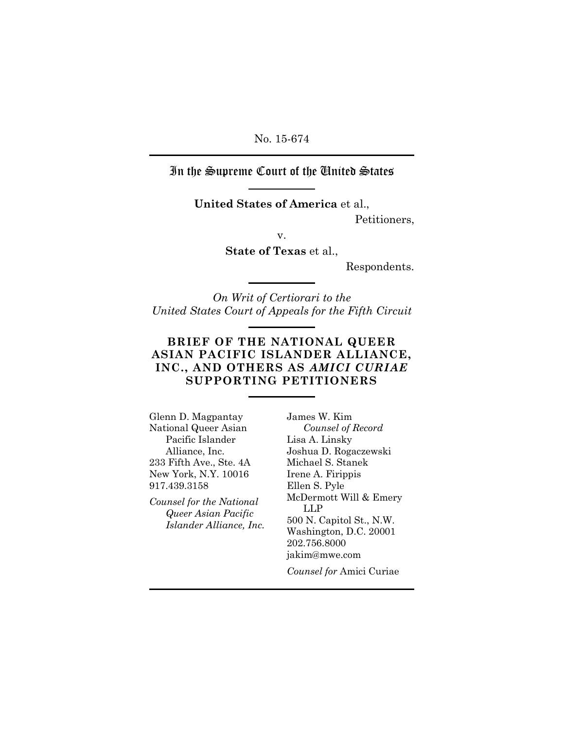In the Supreme Court of the United States

**United States of America** et al.,

Petitioners,

v.

**State of Texas** et al.,

Respondents.

*On Writ of Certiorari to the United States Court of Appeals for the Fifth Circuit*

## **BRIEF OF THE NATIONAL QUEER ASIAN PACIFIC ISLANDER ALLIANCE, INC., AND OTHERS AS** *AMICI CURIAE*  **SUPPORTING PETITIONERS**

Glenn D. Magpantay National Queer Asian Pacific Islander Alliance, Inc. 233 Fifth Ave., Ste. 4A New York, N.Y. 10016 917.439.3158

*Counsel for the National Queer Asian Pacific Islander Alliance, Inc.* James W. Kim *Counsel of Record* Lisa A. Linsky Joshua D. Rogaczewski Michael S. Stanek Irene A. Firippis Ellen S. Pyle McDermott Will & Emery LLP 500 N. Capitol St., N.W. Washington, D.C. 20001 202.756.8000 jakim@mwe.com

*Counsel for* Amici Curiae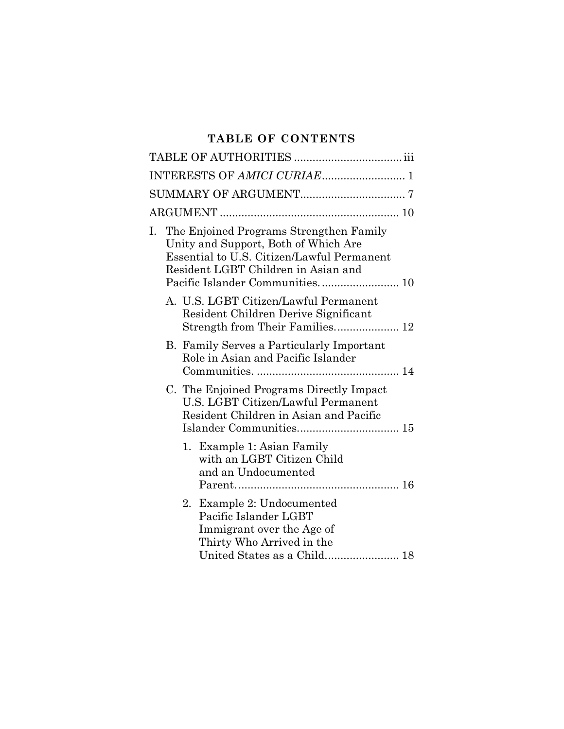# **TABLE OF CONTENTS**

|    | INTERESTS OF AMICI CURIAE 1                                                                                                                                                                             |
|----|---------------------------------------------------------------------------------------------------------------------------------------------------------------------------------------------------------|
|    |                                                                                                                                                                                                         |
|    |                                                                                                                                                                                                         |
| Ι. | The Enjoined Programs Strengthen Family<br>Unity and Support, Both of Which Are<br>Essential to U.S. Citizen/Lawful Permanent<br>Resident LGBT Children in Asian and<br>Pacific Islander Communities 10 |
|    | A. U.S. LGBT Citizen/Lawful Permanent<br>Resident Children Derive Significant<br>Strength from Their Families 12                                                                                        |
|    | <b>B.</b> Family Serves a Particularly Important<br>Role in Asian and Pacific Islander                                                                                                                  |
|    | C. The Enjoined Programs Directly Impact<br>U.S. LGBT Citizen/Lawful Permanent<br>Resident Children in Asian and Pacific                                                                                |
|    | 1. Example 1: Asian Family<br>with an LGBT Citizen Child<br>and an Undocumented                                                                                                                         |
|    | 2. Example 2: Undocumented<br>Pacific Islander LGBT<br>Immigrant over the Age of<br>Thirty Who Arrived in the<br>United States as a Child 18                                                            |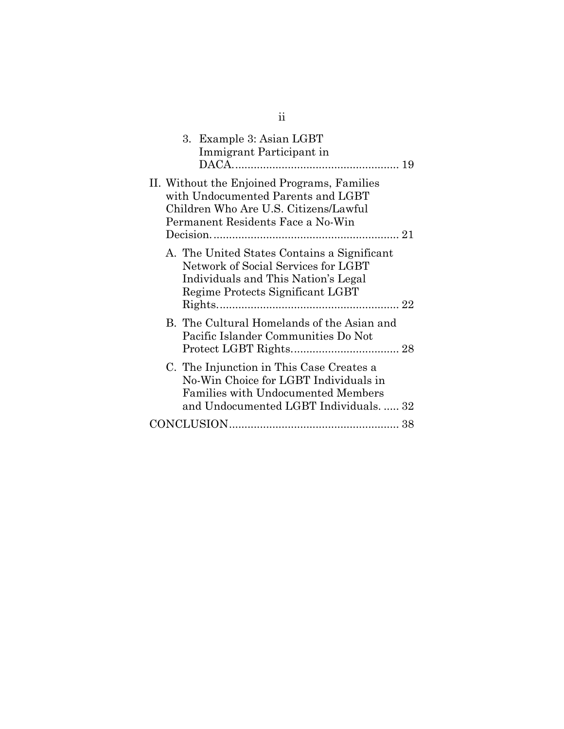|  | 3. Example 3: Asian LGBT<br>Immigrant Participant in                                                                                                                     |  |
|--|--------------------------------------------------------------------------------------------------------------------------------------------------------------------------|--|
|  | II. Without the Enjoined Programs, Families<br>with Undocumented Parents and LGBT<br>Children Who Are U.S. Citizens/Lawful<br>Permanent Residents Face a No-Win          |  |
|  | A. The United States Contains a Significant<br>Network of Social Services for LGBT<br>Individuals and This Nation's Legal<br>Regime Protects Significant LGBT            |  |
|  | B. The Cultural Homelands of the Asian and<br>Pacific Islander Communities Do Not                                                                                        |  |
|  | C. The Injunction in This Case Creates a<br>No-Win Choice for LGBT Individuals in<br><b>Families with Undocumented Members</b><br>and Undocumented LGBT Individuals.  32 |  |
|  |                                                                                                                                                                          |  |
|  |                                                                                                                                                                          |  |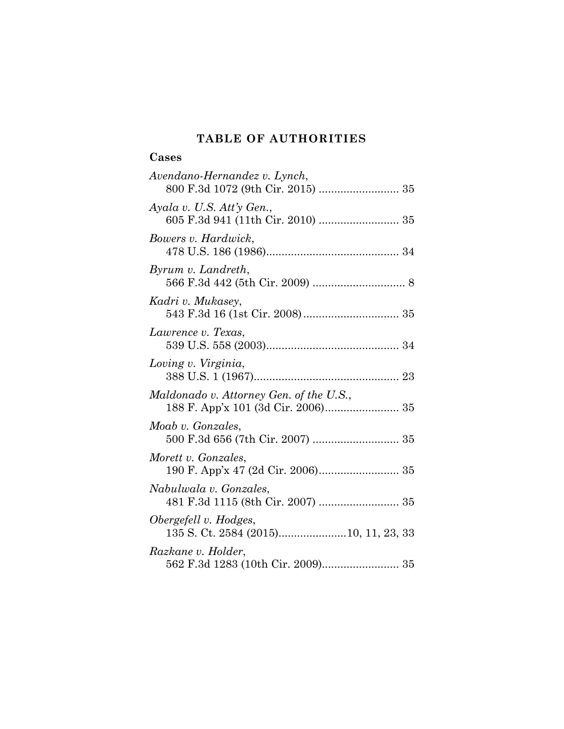# **TABLE OF AUTHORITIES**

# **Cases**

| Avendano-Hernandez v. Lynch,                                   |
|----------------------------------------------------------------|
| Ayala v. U.S. Att'y Gen.,<br>605 F.3d 941 (11th Cir. 2010)  35 |
| Bowers v. Hardwick,                                            |
| Byrum v. Landreth,                                             |
| Kadri v. Mukasey,                                              |
| Lawrence v. Texas,                                             |
| Loving v. Virginia,                                            |
| Maldonado v. Attorney Gen. of the U.S.,                        |
| Moab v. Gonzales,                                              |
| Morett v. Gonzales,                                            |
| Nabulwala v. Gonzales,                                         |
| Obergefell v. Hodges,<br>135 S. Ct. 2584 (2015)10, 11, 23, 33  |
| Razkane v. Holder,                                             |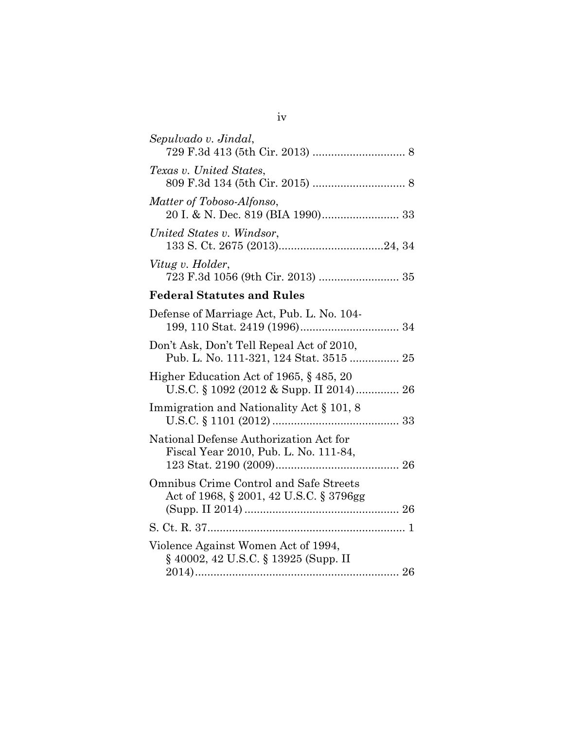| Sepulvado v. Jindal,                                                                 |  |
|--------------------------------------------------------------------------------------|--|
| Texas v. United States,                                                              |  |
| Matter of Toboso-Alfonso,                                                            |  |
| United States v. Windsor,                                                            |  |
| Vitug v. Holder,                                                                     |  |
| <b>Federal Statutes and Rules</b>                                                    |  |
| Defense of Marriage Act, Pub. L. No. 104-                                            |  |
| Don't Ask, Don't Tell Repeal Act of 2010,<br>Pub. L. No. 111-321, 124 Stat. 3515  25 |  |
| Higher Education Act of 1965, §485, 20<br>U.S.C. § 1092 (2012 & Supp. II 2014) 26    |  |
| Immigration and Nationality Act § 101, 8                                             |  |
| National Defense Authorization Act for<br>Fiscal Year 2010, Pub. L. No. 111-84,      |  |
| Omnibus Crime Control and Safe Streets<br>Act of 1968, § 2001, 42 U.S.C. § 3796gg    |  |
|                                                                                      |  |
| Violence Against Women Act of 1994,<br>§ 40002, 42 U.S.C. § 13925 (Supp. II          |  |
|                                                                                      |  |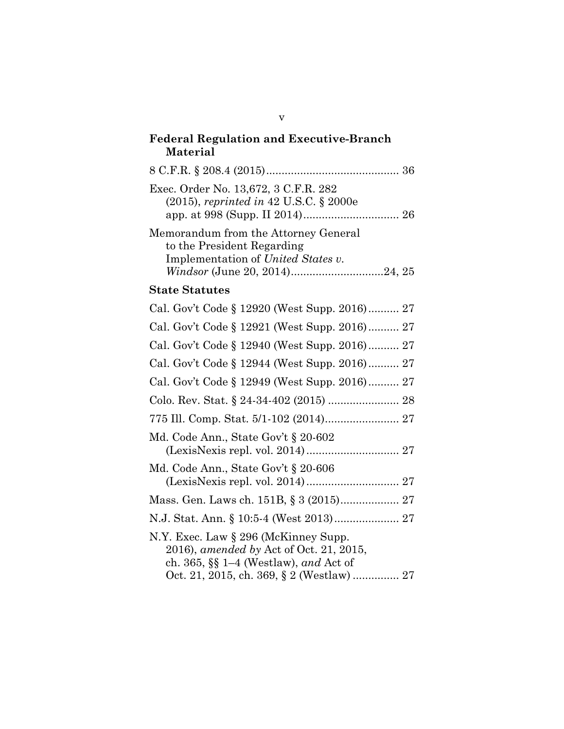# **Federal Regulation and Executive-Branch Material** 8 C.F.R. § 208.4 (2015)........................................... 36 Exec. Order No. 13,672, 3 C.F.R. 282 (2015), *reprinted in* 42 U.S.C. § 2000e app. at 998 (Supp. II 2014)............................... 26 Memorandum from the Attorney General to the President Regarding Implementation of *United States v. Windsor* (June 20, 2014)..............................24, 25 **State Statutes** Cal. Gov't Code § 12920 (West Supp. 2016).......... 27 Cal. Gov't Code § 12921 (West Supp. 2016).......... 27 Cal. Gov't Code § 12940 (West Supp. 2016).......... 27 Cal. Gov't Code § 12944 (West Supp. 2016).......... 27 Cal. Gov't Code § 12949 (West Supp. 2016).......... 27 Colo. Rev. Stat. § 24-34-402 (2015) ....................... 28 775 Ill. Comp. Stat. 5/1-102 (2014)........................ 27 Md. Code Ann., State Gov't § 20-602 (LexisNexis repl. vol. 2014).............................. 27 Md. Code Ann., State Gov't § 20-606 (LexisNexis repl. vol. 2014).............................. 27 Mass. Gen. Laws ch. 151B, § 3 (2015)................... 27 N.J. Stat. Ann. § 10:5-4 (West 2013)..................... 27 N.Y. Exec. Law § 296 (McKinney Supp. 2016), *amended by* Act of Oct. 21, 2015, ch. 365, §§ 1–4 (Westlaw), *and* Act of Oct. 21, 2015, ch. 369, § 2 (Westlaw) ............... 27

v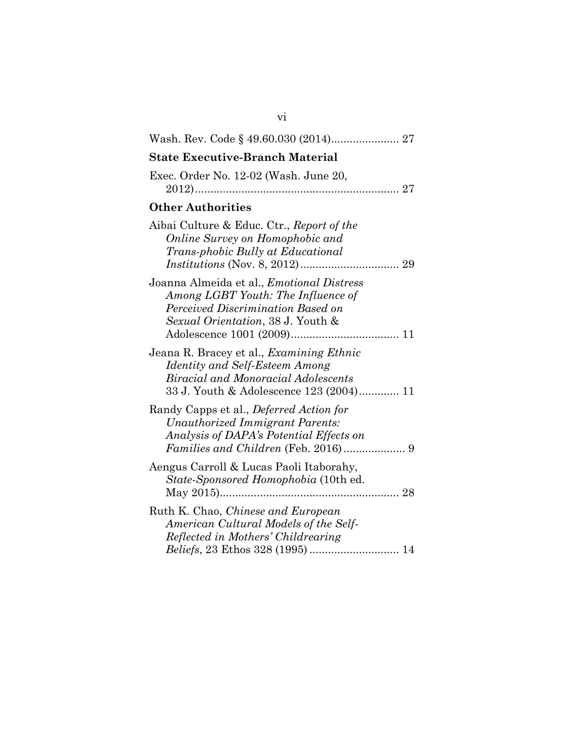| <b>State Executive-Branch Material</b>                                                                                                                                     |
|----------------------------------------------------------------------------------------------------------------------------------------------------------------------------|
| Exec. Order No. 12-02 (Wash. June 20,                                                                                                                                      |
| <b>Other Authorities</b>                                                                                                                                                   |
| Aibai Culture & Educ. Ctr., Report of the<br>Online Survey on Homophobic and<br>Trans-phobic Bully at Educational                                                          |
| Joanna Almeida et al., <i>Emotional Distress</i><br>Among LGBT Youth: The Influence of<br>Perceived Discrimination Based on<br>Sexual Orientation, 38 J. Youth &           |
| Jeana R. Bracey et al., <i>Examining Ethnic</i><br>Identity and Self-Esteem Among<br><b>Biracial and Monoracial Adolescents</b><br>33 J. Youth & Adolescence 123 (2004) 11 |
| Randy Capps et al., Deferred Action for<br>Unauthorized Immigrant Parents:<br>Analysis of DAPA's Potential Effects on                                                      |
| Aengus Carroll & Lucas Paoli Itaborahy,<br><i>State-Sponsored Homophobia</i> (10th ed.)                                                                                    |
| Ruth K. Chao, <i>Chinese and European</i><br>American Cultural Models of the Self-<br>Reflected in Mothers' Childrearing                                                   |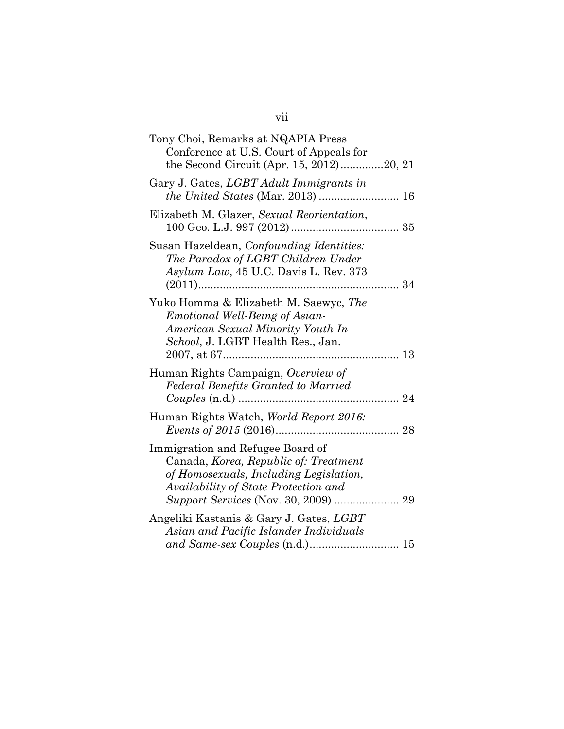| Tony Choi, Remarks at NQAPIA Press<br>Conference at U.S. Court of Appeals for<br>the Second Circuit (Apr. 15, 2012)20, 21                                   |  |
|-------------------------------------------------------------------------------------------------------------------------------------------------------------|--|
| Gary J. Gates, <i>LGBT Adult Immigrants in</i>                                                                                                              |  |
| Elizabeth M. Glazer, Sexual Reorientation,                                                                                                                  |  |
| Susan Hazeldean, Confounding Identities:<br>The Paradox of LGBT Children Under<br>Asylum Law, 45 U.C. Davis L. Rev. 373                                     |  |
| Yuko Homma & Elizabeth M. Saewyc, The<br><i>Emotional Well-Being of Asian-</i><br>American Sexual Minority Youth In<br>School, J. LGBT Health Res., Jan.    |  |
| Human Rights Campaign, Overview of<br><b>Federal Benefits Granted to Married</b>                                                                            |  |
| Human Rights Watch, World Report 2016:                                                                                                                      |  |
| Immigration and Refugee Board of<br>Canada, Korea, Republic of: Treatment<br>of Homosexuals, Including Legislation,<br>Availability of State Protection and |  |
| Angeliki Kastanis & Gary J. Gates, LGBT<br>Asian and Pacific Islander Individuals                                                                           |  |
|                                                                                                                                                             |  |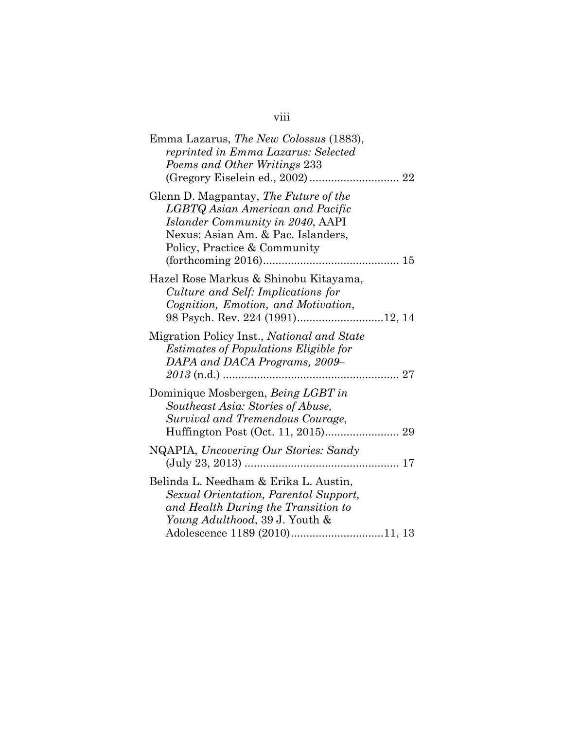# viii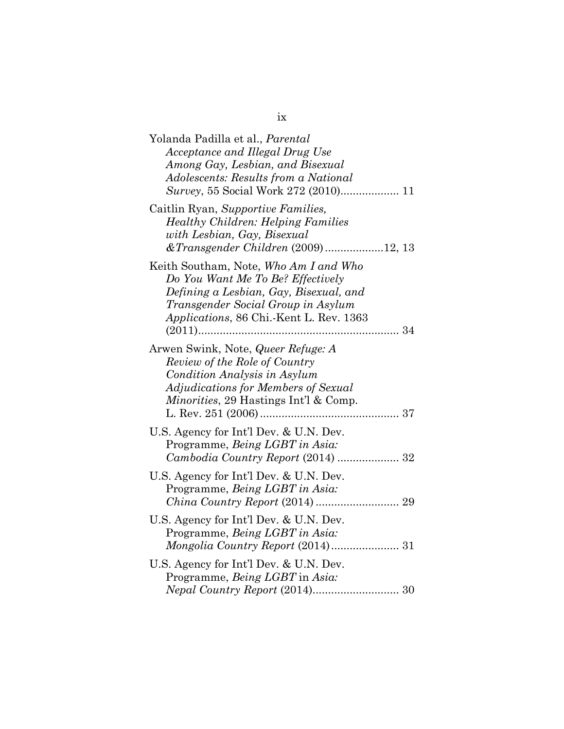| Yolanda Padilla et al., <i>Parental</i><br>Acceptance and Illegal Drug Use<br>Among Gay, Lesbian, and Bisexual<br>Adolescents: Results from a National                                                      |
|-------------------------------------------------------------------------------------------------------------------------------------------------------------------------------------------------------------|
| Caitlin Ryan, Supportive Families,<br><b>Healthy Children: Helping Families</b><br>with Lesbian, Gay, Bisexual<br>& Transgender Children (2009) 12, 13                                                      |
| Keith Southam, Note, Who Am I and Who<br>Do You Want Me To Be? Effectively<br>Defining a Lesbian, Gay, Bisexual, and<br>Transgender Social Group in Asylum<br>Applications, 86 Chi.-Kent L. Rev. 1363<br>34 |
| Arwen Swink, Note, Queer Refuge: A<br>Review of the Role of Country<br>Condition Analysis in Asylum<br>Adjudications for Members of Sexual<br>Minorities, 29 Hastings Int'l & Comp.                         |
| U.S. Agency for Int'l Dev. & U.N. Dev.<br>Programme, Being LGBT in Asia:<br>Cambodia Country Report (2014)  32                                                                                              |
| U.S. Agency for Int'l Dev. & U.N. Dev.<br>Programme, Being LGBT in Asia:                                                                                                                                    |
| U.S. Agency for Int'l Dev. & U.N. Dev.<br>Programme, Being LGBT in Asia:                                                                                                                                    |
| U.S. Agency for Int'l Dev. & U.N. Dev.<br>Programme, Being LGBT in Asia:                                                                                                                                    |

ix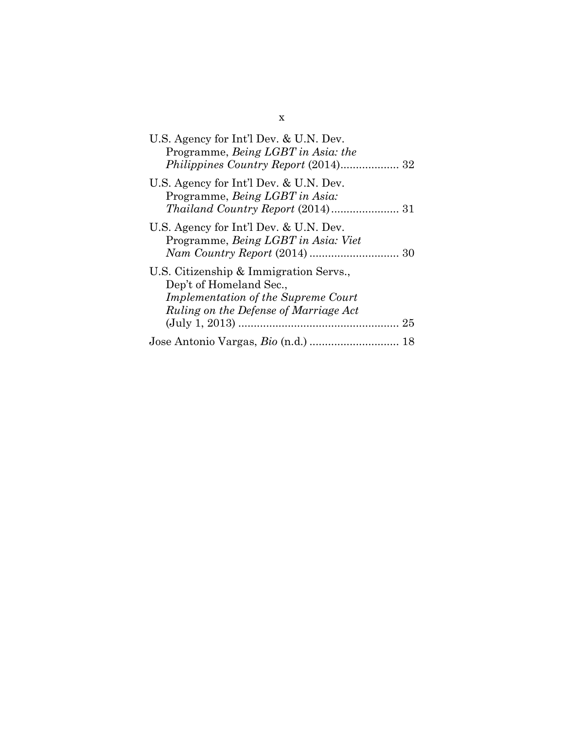| U.S. Agency for Int'l Dev. & U.N. Dev.<br>Programme, Being LGBT in Asia: the                                                                                   |
|----------------------------------------------------------------------------------------------------------------------------------------------------------------|
| U.S. Agency for Int'l Dev. & U.N. Dev.<br>Programme, Being LGBT in Asia:                                                                                       |
| U.S. Agency for Int'l Dev. & U.N. Dev.<br>Programme, Being LGBT in Asia: Viet                                                                                  |
| U.S. Citizenship & Immigration Servs.,<br>Dep't of Homeland Sec.,<br><i>Implementation of the Supreme Court</i><br>Ruling on the Defense of Marriage Act<br>25 |
|                                                                                                                                                                |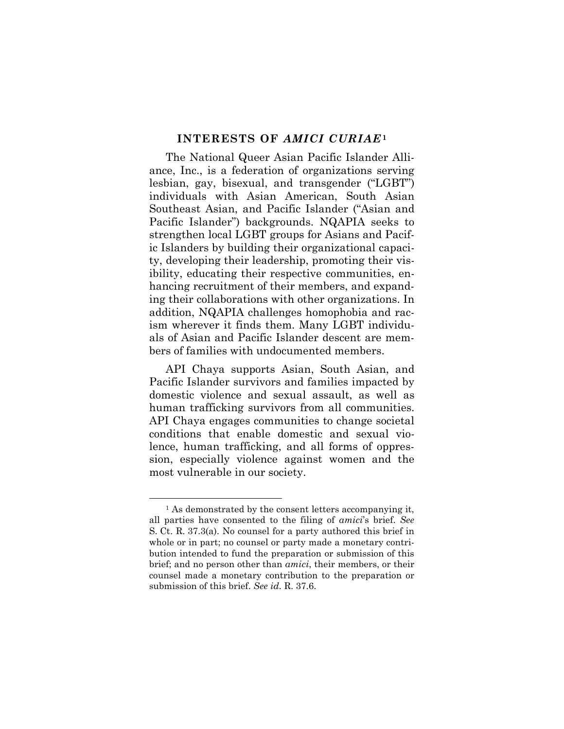#### **INTERESTS OF** *AMICI CURIAE***[1](#page-11-0)**

The National Queer Asian Pacific Islander Alliance, Inc., is a federation of organizations serving lesbian, gay, bisexual, and transgender ("LGBT") individuals with Asian American, South Asian Southeast Asian, and Pacific Islander ("Asian and Pacific Islander") backgrounds. NQAPIA seeks to strengthen local LGBT groups for Asians and Pacific Islanders by building their organizational capacity, developing their leadership, promoting their visibility, educating their respective communities, enhancing recruitment of their members, and expanding their collaborations with other organizations. In addition, NQAPIA challenges homophobia and racism wherever it finds them. Many LGBT individuals of Asian and Pacific Islander descent are members of families with undocumented members.

API Chaya supports Asian, South Asian, and Pacific Islander survivors and families impacted by domestic violence and sexual assault, as well as human trafficking survivors from all communities. API Chaya engages communities to change societal conditions that enable domestic and sexual violence, human trafficking, and all forms of oppression, especially violence against women and the most vulnerable in our society.

<span id="page-11-0"></span> <sup>1</sup> As demonstrated by the consent letters accompanying it, all parties have consented to the filing of *amici*'s brief. *See*  S. Ct. R. 37.3(a). No counsel for a party authored this brief in whole or in part; no counsel or party made a monetary contribution intended to fund the preparation or submission of this brief; and no person other than *amici*, their members, or their counsel made a monetary contribution to the preparation or submission of this brief. *See id.* R. 37.6.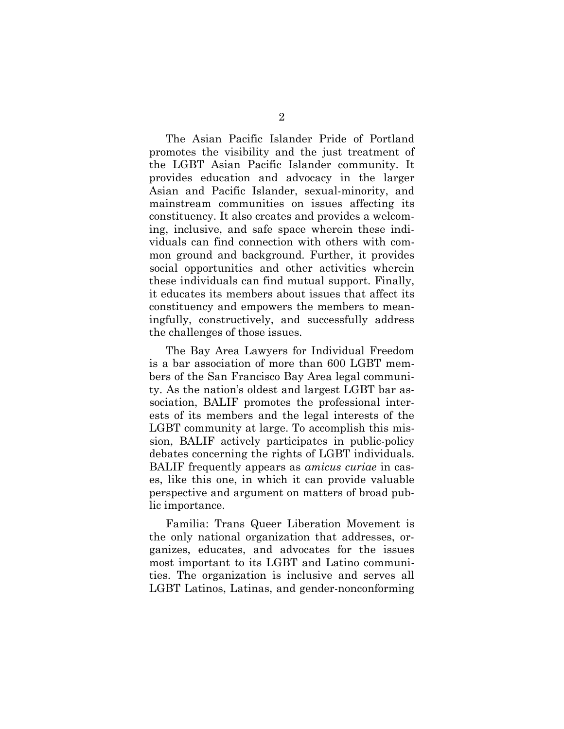The Asian Pacific Islander Pride of Portland promotes the visibility and the just treatment of the LGBT Asian Pacific Islander community. It provides education and advocacy in the larger Asian and Pacific Islander, sexual-minority, and mainstream communities on issues affecting its constituency. It also creates and provides a welcoming, inclusive, and safe space wherein these individuals can find connection with others with common ground and background. Further, it provides social opportunities and other activities wherein these individuals can find mutual support. Finally, it educates its members about issues that affect its constituency and empowers the members to meaningfully, constructively, and successfully address the challenges of those issues.

The Bay Area Lawyers for Individual Freedom is a bar association of more than 600 LGBT members of the San Francisco Bay Area legal community. As the nation's oldest and largest LGBT bar association, BALIF promotes the professional interests of its members and the legal interests of the LGBT community at large. To accomplish this mission, BALIF actively participates in public-policy debates concerning the rights of LGBT individuals. BALIF frequently appears as *amicus curiae* in cases, like this one, in which it can provide valuable perspective and argument on matters of broad public importance.

Familia: Trans Queer Liberation Movement is the only national organization that addresses, organizes, educates, and advocates for the issues most important to its LGBT and Latino communities. The organization is inclusive and serves all LGBT Latinos, Latinas, and gender-nonconforming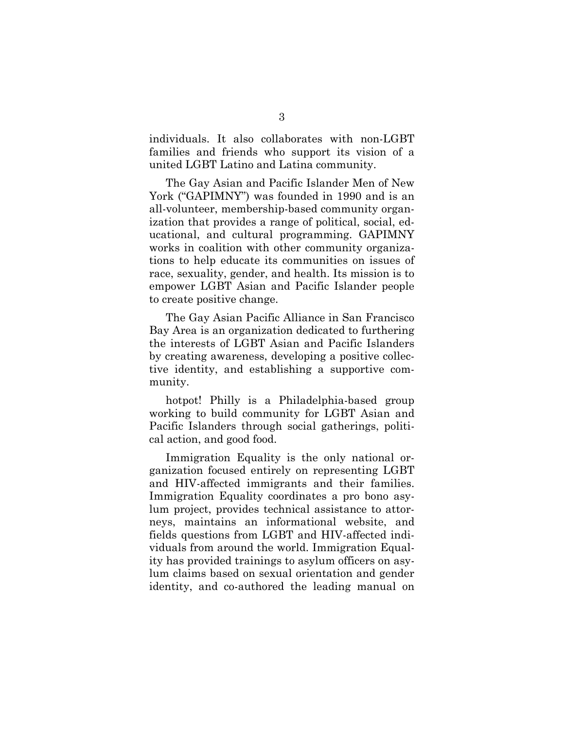individuals. It also collaborates with non-LGBT families and friends who support its vision of a united LGBT Latino and Latina community.

The Gay Asian and Pacific Islander Men of New York ("GAPIMNY") was founded in 1990 and is an all-volunteer, membership-based community organization that provides a range of political, social, educational, and cultural programming. GAPIMNY works in coalition with other community organizations to help educate its communities on issues of race, sexuality, gender, and health. Its mission is to empower LGBT Asian and Pacific Islander people to create positive change.

The Gay Asian Pacific Alliance in San Francisco Bay Area is an organization dedicated to furthering the interests of LGBT Asian and Pacific Islanders by creating awareness, developing a positive collective identity, and establishing a supportive community.

hotpot! Philly is a Philadelphia-based group working to build community for LGBT Asian and Pacific Islanders through social gatherings, political action, and good food.

Immigration Equality is the only national organization focused entirely on representing LGBT and HIV-affected immigrants and their families. Immigration Equality coordinates a pro bono asylum project, provides technical assistance to attorneys, maintains an informational website, and fields questions from LGBT and HIV-affected individuals from around the world. Immigration Equality has provided trainings to asylum officers on asylum claims based on sexual orientation and gender identity, and co-authored the leading manual on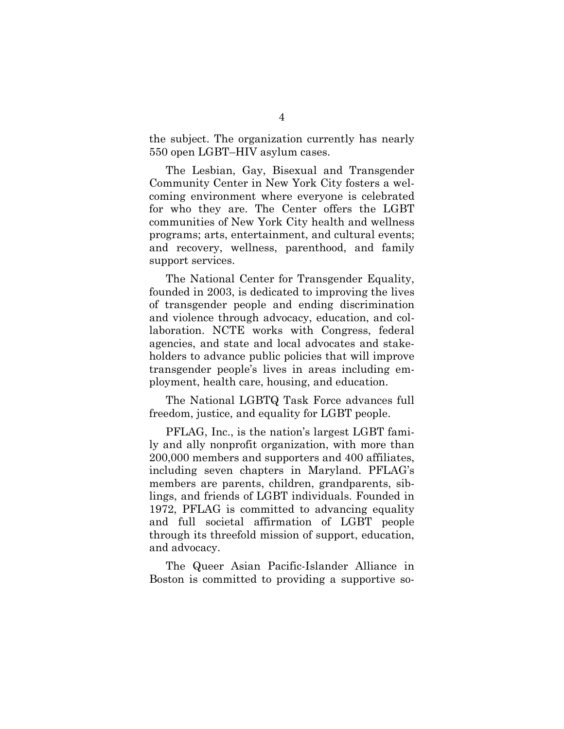the subject. The organization currently has nearly 550 open LGBT–HIV asylum cases.

The Lesbian, Gay, Bisexual and Transgender Community Center in New York City fosters a welcoming environment where everyone is celebrated for who they are. The Center offers the LGBT communities of New York City health and wellness programs; arts, entertainment, and cultural events; and recovery, wellness, parenthood, and family support services.

The National Center for Transgender Equality, founded in 2003, is dedicated to improving the lives of transgender people and ending discrimination and violence through advocacy, education, and collaboration. NCTE works with Congress, federal agencies, and state and local advocates and stakeholders to advance public policies that will improve transgender people's lives in areas including employment, health care, housing, and education.

The National LGBTQ Task Force advances full freedom, justice, and equality for LGBT people.

PFLAG, Inc., is the nation's largest LGBT family and ally nonprofit organization, with more than 200,000 members and supporters and 400 affiliates, including seven chapters in Maryland. PFLAG's members are parents, children, grandparents, siblings, and friends of LGBT individuals. Founded in 1972, PFLAG is committed to advancing equality and full societal affirmation of LGBT people through its threefold mission of support, education, and advocacy.

The Queer Asian Pacific-Islander Alliance in Boston is committed to providing a supportive so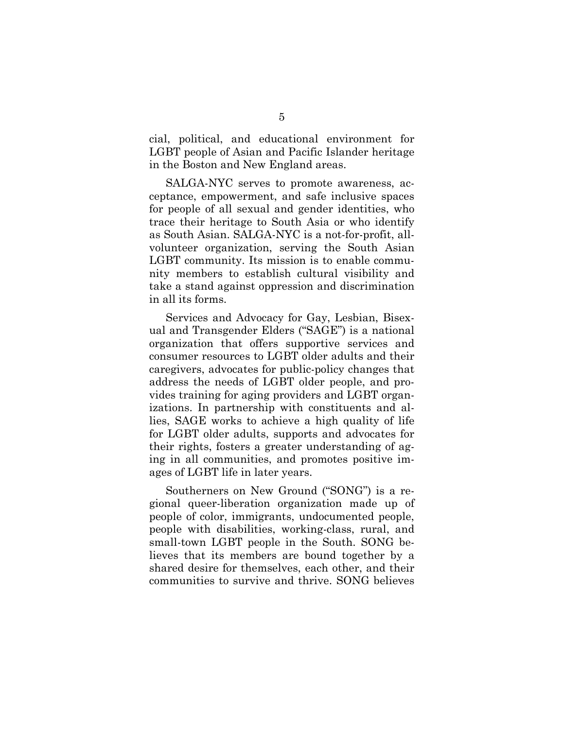cial, political, and educational environment for LGBT people of Asian and Pacific Islander heritage in the Boston and New England areas.

SALGA-NYC serves to promote awareness, acceptance, empowerment, and safe inclusive spaces for people of all sexual and gender identities, who trace their heritage to South Asia or who identify as South Asian. SALGA-NYC is a not-for-profit, allvolunteer organization, serving the South Asian LGBT community. Its mission is to enable community members to establish cultural visibility and take a stand against oppression and discrimination in all its forms.

Services and Advocacy for Gay, Lesbian, Bisexual and Transgender Elders ("SAGE") is a national organization that offers supportive services and consumer resources to LGBT older adults and their caregivers, advocates for public-policy changes that address the needs of LGBT older people, and provides training for aging providers and LGBT organizations. In partnership with constituents and allies, SAGE works to achieve a high quality of life for LGBT older adults, supports and advocates for their rights, fosters a greater understanding of aging in all communities, and promotes positive images of LGBT life in later years.

Southerners on New Ground ("SONG") is a regional queer-liberation organization made up of people of color, immigrants, undocumented people, people with disabilities, working-class, rural, and small-town LGBT people in the South. SONG believes that its members are bound together by a shared desire for themselves, each other, and their communities to survive and thrive. SONG believes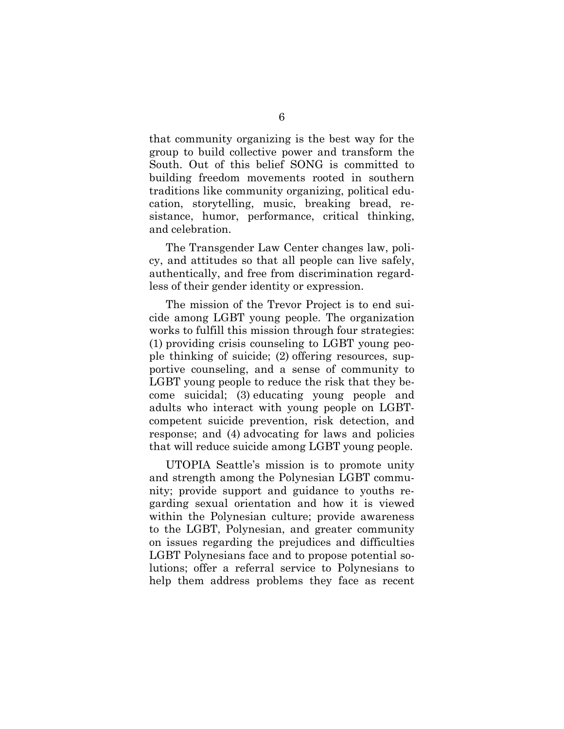that community organizing is the best way for the group to build collective power and transform the South. Out of this belief SONG is committed to building freedom movements rooted in southern traditions like community organizing, political education, storytelling, music, breaking bread, resistance, humor, performance, critical thinking, and celebration.

The Transgender Law Center changes law, policy, and attitudes so that all people can live safely, authentically, and free from discrimination regardless of their gender identity or expression.

The mission of the Trevor Project is to end suicide among LGBT young people. The organization works to fulfill this mission through four strategies: (1) providing crisis counseling to LGBT young people thinking of suicide; (2) offering resources, supportive counseling, and a sense of community to LGBT young people to reduce the risk that they become suicidal; (3) educating young people and adults who interact with young people on LGBTcompetent suicide prevention, risk detection, and response; and (4) advocating for laws and policies that will reduce suicide among LGBT young people.

UTOPIA Seattle's mission is to promote unity and strength among the Polynesian LGBT community; provide support and guidance to youths regarding sexual orientation and how it is viewed within the Polynesian culture; provide awareness to the LGBT, Polynesian, and greater community on issues regarding the prejudices and difficulties LGBT Polynesians face and to propose potential solutions; offer a referral service to Polynesians to help them address problems they face as recent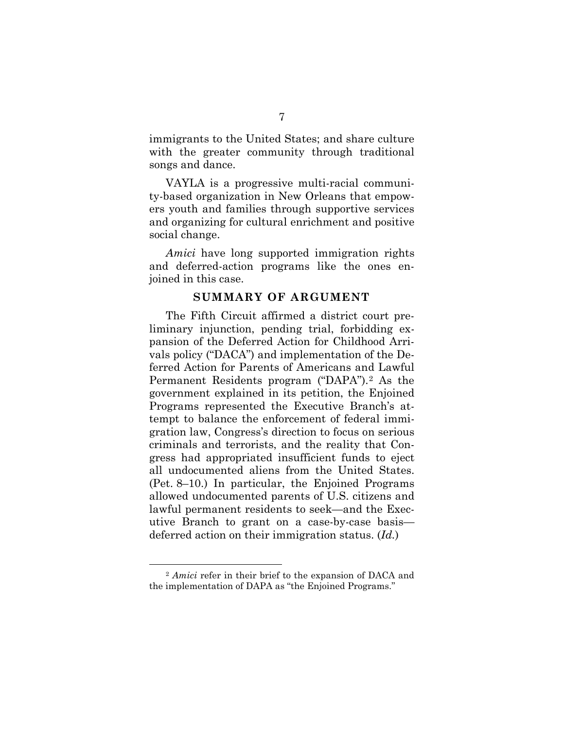immigrants to the United States; and share culture with the greater community through traditional songs and dance.

VAYLA is a progressive multi-racial community-based organization in New Orleans that empowers youth and families through supportive services and organizing for cultural enrichment and positive social change.

*Amici* have long supported immigration rights and deferred-action programs like the ones enjoined in this case.

#### **SUMMARY OF ARGUMENT**

The Fifth Circuit affirmed a district court preliminary injunction, pending trial, forbidding expansion of the Deferred Action for Childhood Arrivals policy ("DACA") and implementation of the Deferred Action for Parents of Americans and Lawful Permanent Residents program ("DAPA").[2](#page-17-0) As the government explained in its petition, the Enjoined Programs represented the Executive Branch's attempt to balance the enforcement of federal immigration law, Congress's direction to focus on serious criminals and terrorists, and the reality that Congress had appropriated insufficient funds to eject all undocumented aliens from the United States. (Pet. 8–10.) In particular, the Enjoined Programs allowed undocumented parents of U.S. citizens and lawful permanent residents to seek—and the Executive Branch to grant on a case-by-case basis deferred action on their immigration status. (*Id.*)

<span id="page-17-0"></span> <sup>2</sup> *Amici* refer in their brief to the expansion of DACA and the implementation of DAPA as "the Enjoined Programs."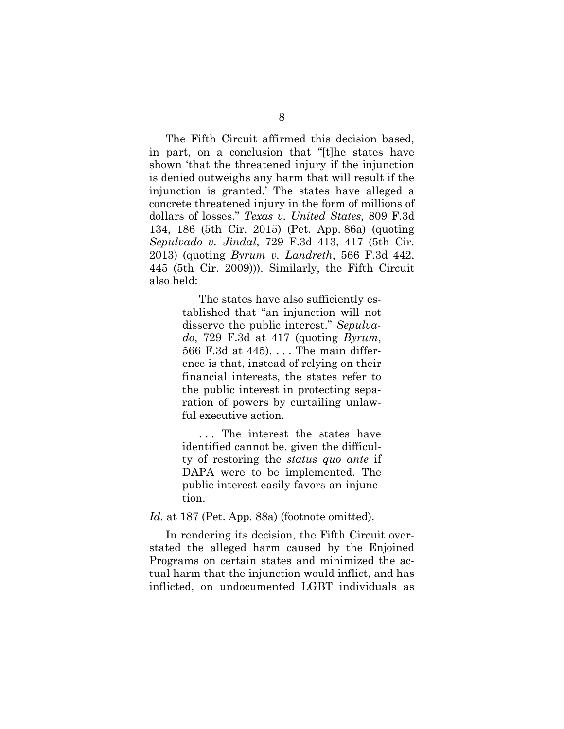The Fifth Circuit affirmed this decision based, in part, on a conclusion that "[t]he states have shown 'that the threatened injury if the injunction is denied outweighs any harm that will result if the injunction is granted.' The states have alleged a concrete threatened injury in the form of millions of dollars of losses." *Texas v. United States,* 809 F.3d 134, 186 (5th Cir. 2015) (Pet. App. 86a) (quoting *Sepulvado v. Jindal*, 729 F.3d 413, 417 (5th Cir. 2013) (quoting *Byrum v. Landreth*, 566 F.3d 442, 445 (5th Cir. 2009))). Similarly, the Fifth Circuit also held:

> The states have also sufficiently established that "an injunction will not disserve the public interest." *Sepulvado*, 729 F.3d at 417 (quoting *Byrum*, 566 F.3d at 445). . . . The main difference is that, instead of relying on their financial interests, the states refer to the public interest in protecting separation of powers by curtailing unlawful executive action.

> . . . The interest the states have identified cannot be, given the difficulty of restoring the *status quo ante* if DAPA were to be implemented. The public interest easily favors an injunction.

*Id.* at 187 (Pet. App. 88a) (footnote omitted).

In rendering its decision, the Fifth Circuit overstated the alleged harm caused by the Enjoined Programs on certain states and minimized the actual harm that the injunction would inflict, and has inflicted, on undocumented LGBT individuals as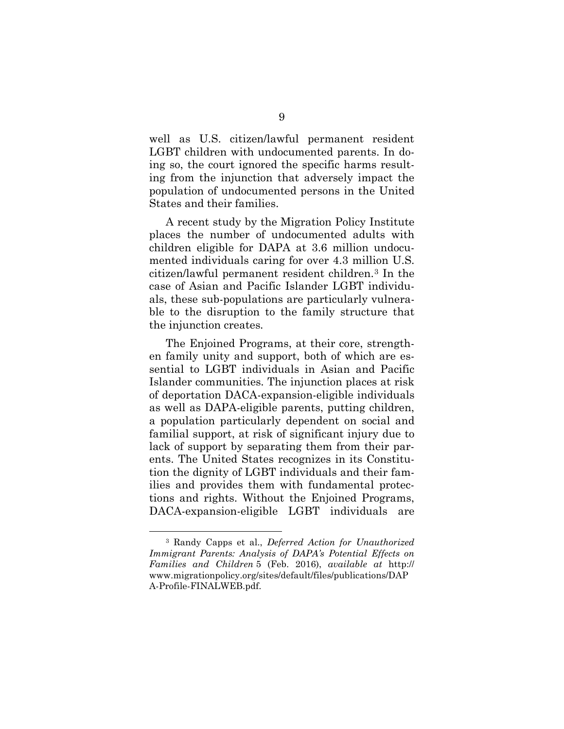well as U.S. citizen/lawful permanent resident LGBT children with undocumented parents. In doing so, the court ignored the specific harms resulting from the injunction that adversely impact the population of undocumented persons in the United States and their families.

A recent study by the Migration Policy Institute places the number of undocumented adults with children eligible for DAPA at 3.6 million undocumented individuals caring for over 4.3 million U.S. citizen/lawful permanent resident children.[3](#page-19-0) In the case of Asian and Pacific Islander LGBT individuals, these sub-populations are particularly vulnerable to the disruption to the family structure that the injunction creates.

The Enjoined Programs, at their core, strengthen family unity and support, both of which are essential to LGBT individuals in Asian and Pacific Islander communities. The injunction places at risk of deportation DACA-expansion-eligible individuals as well as DAPA-eligible parents, putting children, a population particularly dependent on social and familial support, at risk of significant injury due to lack of support by separating them from their parents. The United States recognizes in its Constitution the dignity of LGBT individuals and their families and provides them with fundamental protections and rights. Without the Enjoined Programs, DACA-expansion-eligible LGBT individuals are

<span id="page-19-0"></span> <sup>3</sup> Randy Capps et al., *Deferred Action for Unauthorized Immigrant Parents: Analysis of DAPA's Potential Effects on Families and Children* 5 (Feb. 2016), *available at* http:// [www.migrationpolicy.org/sites/default/files/publications/DAP](http://www.migrationpolicy.org/sites/default/files/publications/DAPA-Profile-FINALWEB.pdf) A-Profile-FINALWEB.pdf.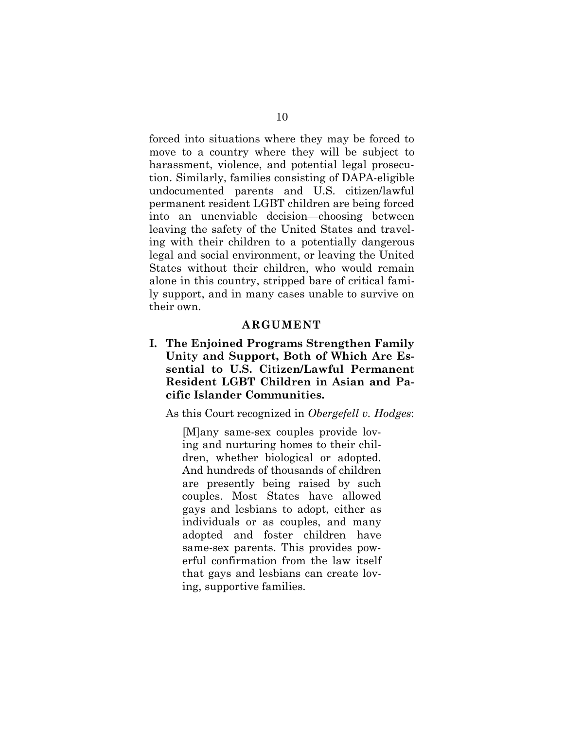forced into situations where they may be forced to move to a country where they will be subject to harassment, violence, and potential legal prosecution. Similarly, families consisting of DAPA-eligible undocumented parents and U.S. citizen/lawful permanent resident LGBT children are being forced into an unenviable decision—choosing between leaving the safety of the United States and traveling with their children to a potentially dangerous legal and social environment, or leaving the United States without their children, who would remain alone in this country, stripped bare of critical family support, and in many cases unable to survive on their own.

#### **ARGUMENT**

**I. The Enjoined Programs Strengthen Family Unity and Support, Both of Which Are Essential to U.S. Citizen/Lawful Permanent Resident LGBT Children in Asian and Pacific Islander Communities.**

As this Court recognized in *Obergefell v. Hodges*:

[M]any same-sex couples provide loving and nurturing homes to their children, whether biological or adopted. And hundreds of thousands of children are presently being raised by such couples. Most States have allowed gays and lesbians to adopt, either as individuals or as couples, and many adopted and foster children have same-sex parents. This provides powerful confirmation from the law itself that gays and lesbians can create loving, supportive families.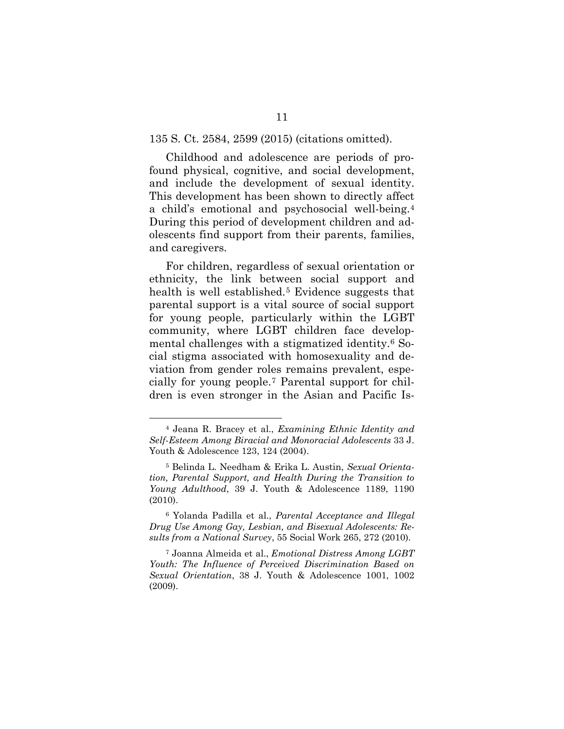Childhood and adolescence are periods of profound physical, cognitive, and social development, and include the development of sexual identity. This development has been shown to directly affect a child's emotional and psychosocial well-being.[4](#page-21-0) During this period of development children and adolescents find support from their parents, families, and caregivers.

<span id="page-21-4"></span>For children, regardless of sexual orientation or ethnicity, the link between social support and health is well established.<sup>[5](#page-21-1)</sup> Evidence suggests that parental support is a vital source of social support for young people, particularly within the LGBT community, where LGBT children face developmental challenges with a stigmatized identity.[6](#page-21-2) Social stigma associated with homosexuality and deviation from gender roles remains prevalent, especially for young people.[7](#page-21-3) Parental support for children is even stronger in the Asian and Pacific Is-

<span id="page-21-0"></span> <sup>4</sup> Jeana R. Bracey et al., *Examining Ethnic Identity and Self-Esteem Among Biracial and Monoracial Adolescents* 33 J. Youth & Adolescence 123, 124 (2004).

<span id="page-21-1"></span><sup>5</sup> Belinda L. Needham & Erika L. Austin, *Sexual Orientation, Parental Support, and Health During the Transition to Young Adulthood*, 39 J. Youth & Adolescence 1189, 1190 (2010).

<span id="page-21-2"></span><sup>6</sup> Yolanda Padilla et al., *Parental Acceptance and Illegal Drug Use Among Gay, Lesbian, and Bisexual Adolescents: Results from a National Survey*, 55 Social Work 265, 272 (2010).

<span id="page-21-3"></span><sup>7</sup> Joanna Almeida et al., *Emotional Distress Among LGBT Youth: The Influence of Perceived Discrimination Based on Sexual Orientation*, 38 J. Youth & Adolescence 1001, 1002 (2009).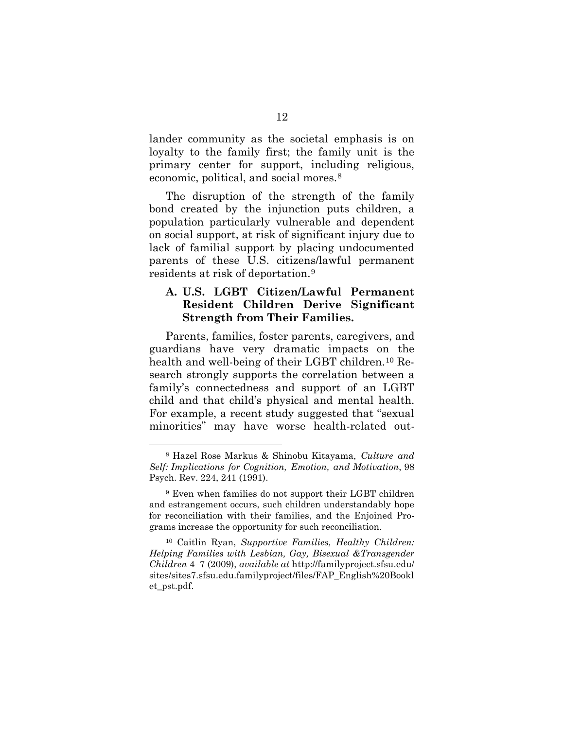lander community as the societal emphasis is on loyalty to the family first; the family unit is the primary center for support, including religious, economic, political, and social mores.[8](#page-22-0)

<span id="page-22-4"></span>The disruption of the strength of the family bond created by the injunction puts children, a population particularly vulnerable and dependent on social support, at risk of significant injury due to lack of familial support by placing undocumented parents of these U.S. citizens/lawful permanent residents at risk of deportation.[9](#page-22-1)

## <span id="page-22-3"></span>**A. U.S. LGBT Citizen/Lawful Permanent Resident Children Derive Significant Strength from Their Families.**

Parents, families, foster parents, caregivers, and guardians have very dramatic impacts on the health and well-being of their LGBT children.<sup>10</sup> Research strongly supports the correlation between a family's connectedness and support of an LGBT child and that child's physical and mental health. For example, a recent study suggested that "sexual minorities" may have worse health-related out-

<span id="page-22-0"></span> <sup>8</sup> Hazel Rose Markus & Shinobu Kitayama, *Culture and Self: Implications for Cognition, Emotion, and Motivation*, 98 Psych. Rev. 224, 241 (1991).

<span id="page-22-1"></span><sup>9</sup> Even when families do not support their LGBT children and estrangement occurs, such children understandably hope for reconciliation with their families, and the Enjoined Programs increase the opportunity for such reconciliation.

<span id="page-22-2"></span><sup>10</sup> Caitlin Ryan, *Supportive Families, Healthy Children: Helping Families with Lesbian, Gay, Bisexual &Transgender Children* 4–7 (2009), *available at* http://familyproject.sfsu.edu/ [sites/sites7.sfsu.edu.familyproject/files/FAP\\_English%20Bookl](http://familyproject.sfsu.edu/sites/sites7.sfsu.edu.familyproject/files/FAP_English%20Booklet_pst.pdf) et\_pst.pdf.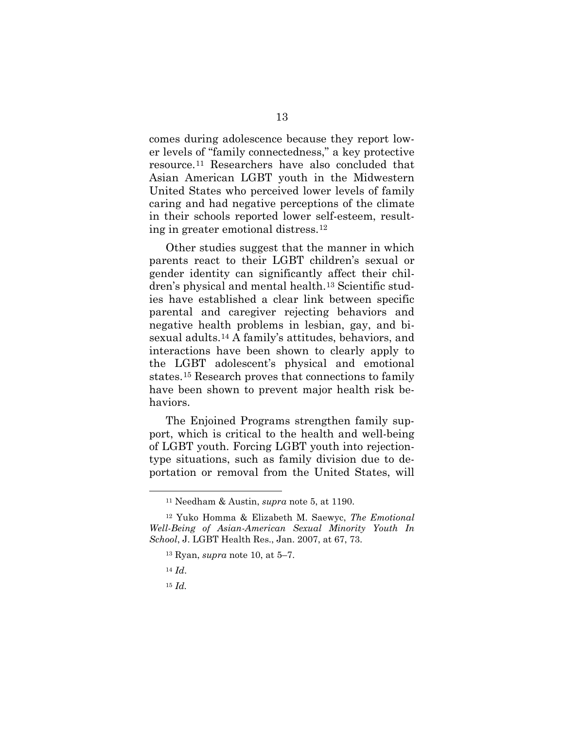comes during adolescence because they report lower levels of "family connectedness," a key protective resource.[11](#page-23-0) Researchers have also concluded that Asian American LGBT youth in the Midwestern United States who perceived lower levels of family caring and had negative perceptions of the climate in their schools reported lower self-esteem, resulting in greater emotional distress.[12](#page-23-1)

Other studies suggest that the manner in which parents react to their LGBT children's sexual or gender identity can significantly affect their children's physical and mental health.[13](#page-23-2) Scientific studies have established a clear link between specific parental and caregiver rejecting behaviors and negative health problems in lesbian, gay, and bisexual adults.[14](#page-23-3) A family's attitudes, behaviors, and interactions have been shown to clearly apply to the LGBT adolescent's physical and emotional states.[15](#page-23-4) Research proves that connections to family have been shown to prevent major health risk behaviors.

The Enjoined Programs strengthen family support, which is critical to the health and well-being of LGBT youth. Forcing LGBT youth into rejectiontype situations, such as family division due to deportation or removal from the United States, will

 <sup>11</sup> Needham & Austin, *supra* note [5,](#page-21-4) at 1190.

<span id="page-23-4"></span><span id="page-23-3"></span><span id="page-23-2"></span><span id="page-23-1"></span><span id="page-23-0"></span><sup>12</sup> Yuko Homma & Elizabeth M. Saewyc, *The Emotional Well-Being of Asian-American Sexual Minority Youth In School*, J. LGBT Health Res., Jan. 2007, at 67, 73.

<sup>13</sup> Ryan, *supra* note [10,](#page-22-3) at 5–7.

<sup>14</sup> *Id*.

<sup>15</sup> *Id.*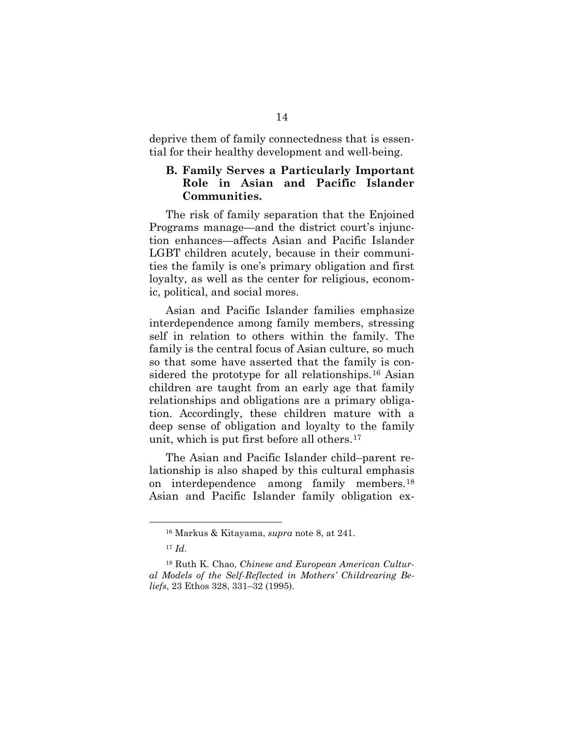deprive them of family connectedness that is essential for their healthy development and well-being.

#### **B. Family Serves a Particularly Important Role in Asian and Pacific Islander Communities.**

The risk of family separation that the Enjoined Programs manage—and the district court's injunction enhances—affects Asian and Pacific Islander LGBT children acutely, because in their communities the family is one's primary obligation and first loyalty, as well as the center for religious, economic, political, and social mores.

Asian and Pacific Islander families emphasize interdependence among family members, stressing self in relation to others within the family. The family is the central focus of Asian culture, so much so that some have asserted that the family is considered the prototype for all relationships.[16](#page-24-0) Asian children are taught from an early age that family relationships and obligations are a primary obligation. Accordingly, these children mature with a deep sense of obligation and loyalty to the family unit, which is put first before all others.[17](#page-24-1)

The Asian and Pacific Islander child–parent relationship is also shaped by this cultural emphasis on interdependence among family members.[18](#page-24-2) Asian and Pacific Islander family obligation ex-

 <sup>16</sup> Markus & Kitayama, *supra* note [8,](#page-22-4) at 241.

<sup>17</sup> *Id*.

<span id="page-24-2"></span><span id="page-24-1"></span><span id="page-24-0"></span><sup>18</sup> Ruth K. Chao, *Chinese and European American Cultural Models of the Self-Reflected in Mothers' Childrearing Beliefs*, 23 Ethos 328, 331–32 (1995).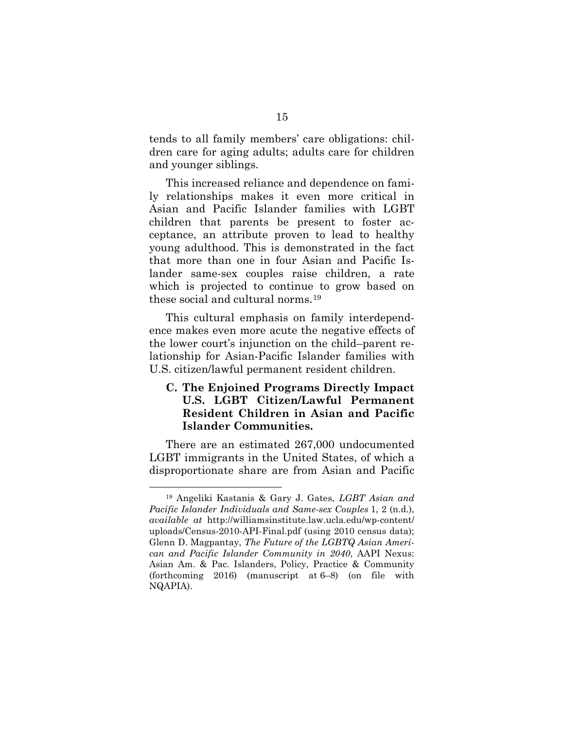tends to all family members' care obligations: children care for aging adults; adults care for children and younger siblings.

This increased reliance and dependence on family relationships makes it even more critical in Asian and Pacific Islander families with LGBT children that parents be present to foster acceptance, an attribute proven to lead to healthy young adulthood. This is demonstrated in the fact that more than one in four Asian and Pacific Islander same-sex couples raise children, a rate which is projected to continue to grow based on these social and cultural norms.[19](#page-25-0)

This cultural emphasis on family interdependence makes even more acute the negative effects of the lower court's injunction on the child–parent relationship for Asian-Pacific Islander families with U.S. citizen/lawful permanent resident children.

## **C. The Enjoined Programs Directly Impact U.S. LGBT Citizen/Lawful Permanent Resident Children in Asian and Pacific Islander Communities.**

There are an estimated 267,000 undocumented LGBT immigrants in the United States, of which a disproportionate share are from Asian and Pacific

<span id="page-25-0"></span> <sup>19</sup> Angeliki Kastanis & Gary J. Gates, *LGBT Asian and Pacific Islander Individuals and Same-sex Couples* 1, 2 (n.d.), *available at* [http://williamsinstitute.law.ucla.edu/wp-content/](http://williamsinstitute.law.ucla.edu/wp-content/uploads/Census-2010-API-Final.pdf) uploads/Census-2010-API-Final.pdf (using 2010 census data); Glenn D. Magpantay, *The Future of the LGBTQ Asian American and Pacific Islander Community in 2040*, AAPI Nexus: Asian Am. & Pac. Islanders, Policy, Practice & Community (forthcoming 2016) (manuscript at 6–8) (on file with NQAPIA).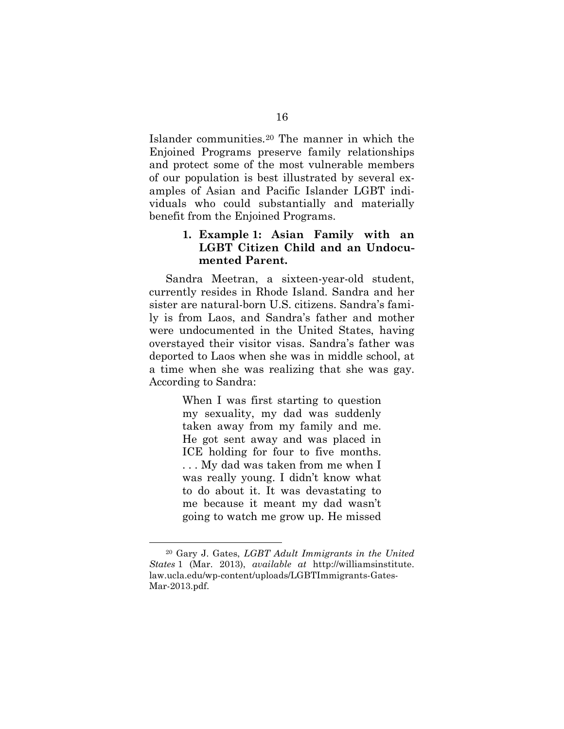Islander communities.[20](#page-26-0) The manner in which the Enjoined Programs preserve family relationships and protect some of the most vulnerable members of our population is best illustrated by several examples of Asian and Pacific Islander LGBT individuals who could substantially and materially benefit from the Enjoined Programs.

## **1. Example 1: Asian Family with an LGBT Citizen Child and an Undocumented Parent.**

Sandra Meetran, a sixteen-year-old student, currently resides in Rhode Island. Sandra and her sister are natural-born U.S. citizens. Sandra's family is from Laos, and Sandra's father and mother were undocumented in the United States, having overstayed their visitor visas. Sandra's father was deported to Laos when she was in middle school, at a time when she was realizing that she was gay. According to Sandra:

> When I was first starting to question my sexuality, my dad was suddenly taken away from my family and me. He got sent away and was placed in ICE holding for four to five months. . . . My dad was taken from me when I was really young. I didn't know what to do about it. It was devastating to me because it meant my dad wasn't going to watch me grow up. He missed

<span id="page-26-0"></span> <sup>20</sup> Gary J. Gates, *LGBT Adult Immigrants in the United States* 1 (Mar. 2013), *available at* http://williamsinstitute. [law.ucla.edu/wp-content/uploads/LGBTImmigrants-Gates-](http://williamsinstitute.law.ucla.edu/wp-content/uploads/LGBTImmigrants-Gates-Mar-2013.pdf)Mar-2013.pdf.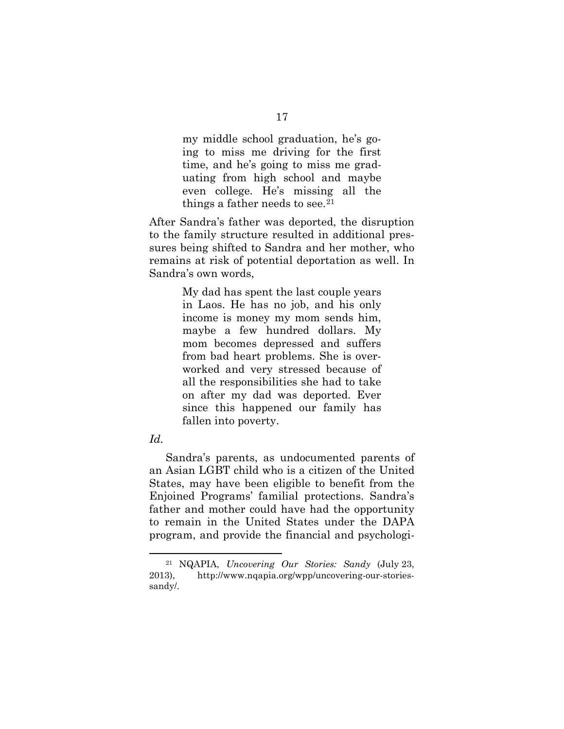my middle school graduation, he's going to miss me driving for the first time, and he's going to miss me graduating from high school and maybe even college. He's missing all the things a father needs to see.<sup>[21](#page-27-0)</sup>

After Sandra's father was deported, the disruption to the family structure resulted in additional pressures being shifted to Sandra and her mother, who remains at risk of potential deportation as well. In Sandra's own words,

> My dad has spent the last couple years in Laos. He has no job, and his only income is money my mom sends him, maybe a few hundred dollars. My mom becomes depressed and suffers from bad heart problems. She is overworked and very stressed because of all the responsibilities she had to take on after my dad was deported. Ever since this happened our family has fallen into poverty.

#### *Id.*

Sandra's parents, as undocumented parents of an Asian LGBT child who is a citizen of the United States, may have been eligible to benefit from the Enjoined Programs' familial protections. Sandra's father and mother could have had the opportunity to remain in the United States under the DAPA program, and provide the financial and psychologi-

<span id="page-27-0"></span> <sup>21</sup> NQAPIA, *Uncovering Our Stories: Sandy* (July 23, 2013), http://www.nqapia.org/wpp/uncovering-our-storiessandy/.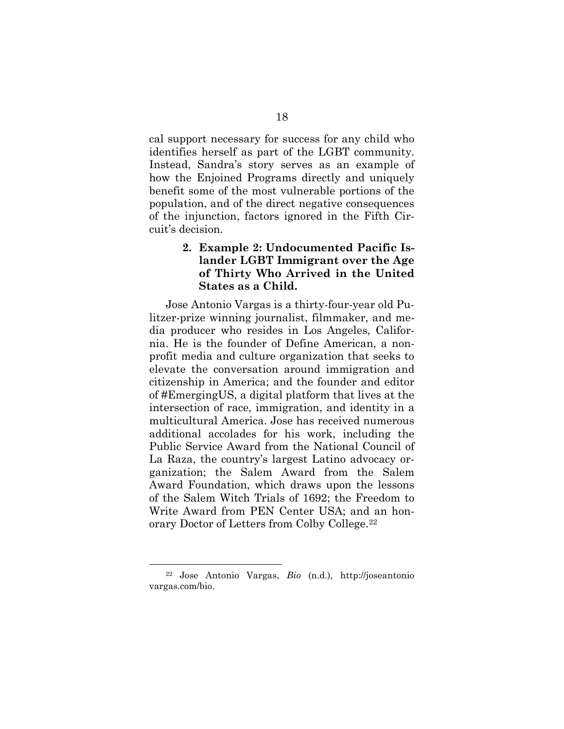cal support necessary for success for any child who identifies herself as part of the LGBT community. Instead, Sandra's story serves as an example of how the Enjoined Programs directly and uniquely benefit some of the most vulnerable portions of the population, and of the direct negative consequences of the injunction, factors ignored in the Fifth Circuit's decision.

#### **2. Example 2: Undocumented Pacific Islander LGBT Immigrant over the Age of Thirty Who Arrived in the United States as a Child.**

Jose Antonio Vargas is a thirty-four-year old Pulitzer-prize winning journalist, filmmaker, and media producer who resides in Los Angeles, California. He is the founder of Define American, a nonprofit media and culture organization that seeks to elevate the conversation around immigration and citizenship in America; and the founder and editor of #EmergingUS, a digital platform that lives at the intersection of race, immigration, and identity in a multicultural America. Jose has received numerous additional accolades for his work, including the Public Service Award from the National Council of La Raza, the country's largest Latino advocacy organization; the Salem Award from the Salem Award Foundation, which draws upon the lessons of the Salem Witch Trials of 1692; the Freedom to Write Award from PEN Center USA; and an honorary Doctor of Letters from Colby College.[22](#page-28-0)

<span id="page-28-0"></span> <sup>22</sup> [Jose Antonio Vargas,](http://joseantoniovargas.com/bio) *Bio* (n.d.)*,* http://joseantonio vargas.com/bio.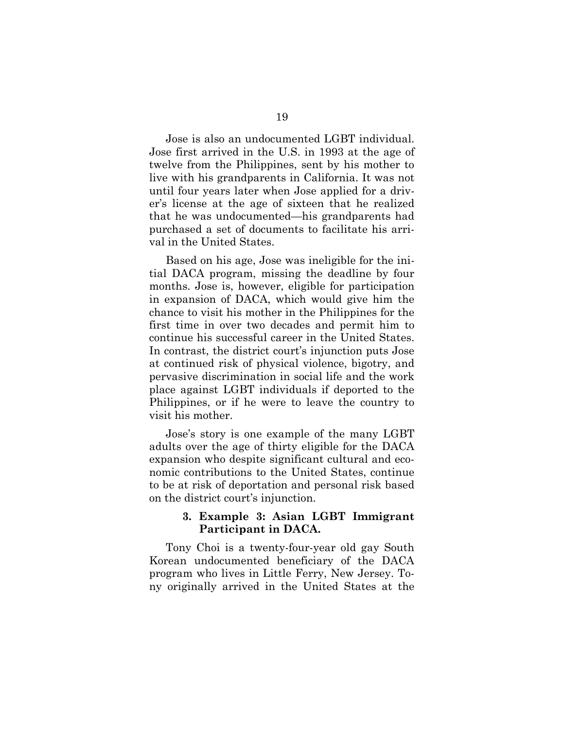Jose is also an undocumented LGBT individual. Jose first arrived in the U.S. in 1993 at the age of twelve from the Philippines, sent by his mother to live with his grandparents in California. It was not until four years later when Jose applied for a driver's license at the age of sixteen that he realized that he was undocumented—his grandparents had purchased a set of documents to facilitate his arrival in the United States.

Based on his age, Jose was ineligible for the initial DACA program, missing the deadline by four months. Jose is, however, eligible for participation in expansion of DACA, which would give him the chance to visit his mother in the Philippines for the first time in over two decades and permit him to continue his successful career in the United States. In contrast, the district court's injunction puts Jose at continued risk of physical violence, bigotry, and pervasive discrimination in social life and the work place against LGBT individuals if deported to the Philippines, or if he were to leave the country to visit his mother.

Jose's story is one example of the many LGBT adults over the age of thirty eligible for the DACA expansion who despite significant cultural and economic contributions to the United States, continue to be at risk of deportation and personal risk based on the district court's injunction.

#### **3. Example 3: Asian LGBT Immigrant Participant in DACA.**

Tony Choi is a twenty-four-year old gay South Korean undocumented beneficiary of the DACA program who lives in Little Ferry, New Jersey. Tony originally arrived in the United States at the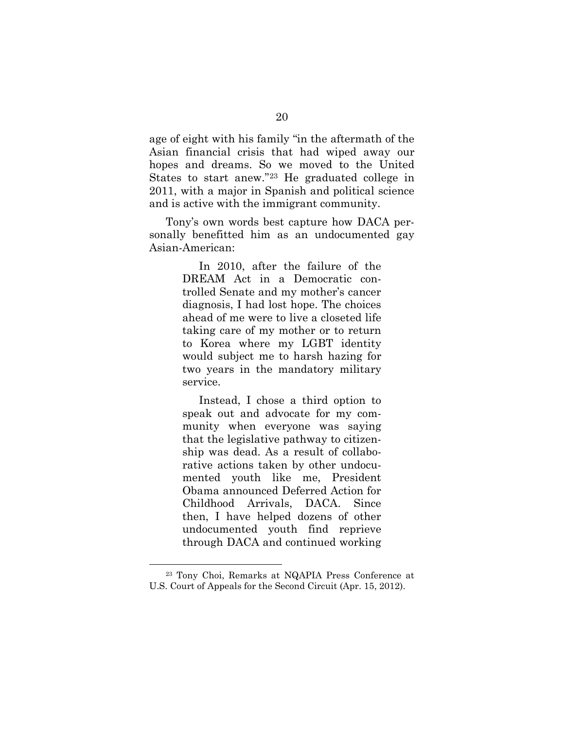age of eight with his family "in the aftermath of the Asian financial crisis that had wiped away our hopes and dreams. So we moved to the United States to start anew."[23](#page-30-0) He graduated college in 2011, with a major in Spanish and political science and is active with the immigrant community.

Tony's own words best capture how DACA personally benefitted him as an undocumented gay Asian-American:

> In 2010, after the failure of the DREAM Act in a Democratic controlled Senate and my mother's cancer diagnosis, I had lost hope. The choices ahead of me were to live a closeted life taking care of my mother or to return to Korea where my LGBT identity would subject me to harsh hazing for two years in the mandatory military service.

> Instead, I chose a third option to speak out and advocate for my community when everyone was saying that the legislative pathway to citizenship was dead. As a result of collaborative actions taken by other undocumented youth like me, President Obama announced Deferred Action for Childhood Arrivals, DACA. Since then, I have helped dozens of other undocumented youth find reprieve through DACA and continued working

<span id="page-30-0"></span> <sup>23</sup> Tony Choi, Remarks at NQAPIA Press Conference at U.S. Court of Appeals for the Second Circuit (Apr. 15, 2012).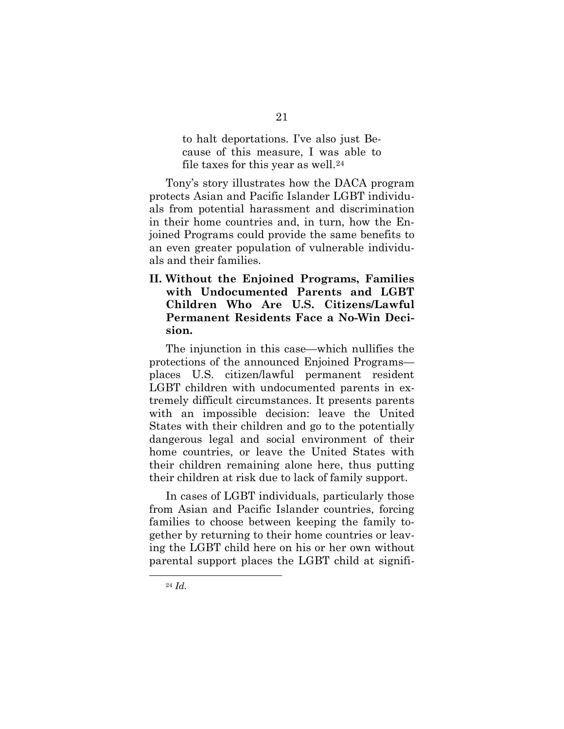to halt deportations. I've also just Because of this measure, I was able to file taxes for this year as well.<sup>[24](#page-31-0)</sup>

Tony's story illustrates how the DACA program protects Asian and Pacific Islander LGBT individuals from potential harassment and discrimination in their home countries and, in turn, how the Enjoined Programs could provide the same benefits to an even greater population of vulnerable individuals and their families.

**II. Without the Enjoined Programs, Families with Undocumented Parents and LGBT Children Who Are U.S. Citizens/Lawful Permanent Residents Face a No-Win Decision.**

The injunction in this case—which nullifies the protections of the announced Enjoined Programs places U.S. citizen/lawful permanent resident LGBT children with undocumented parents in extremely difficult circumstances. It presents parents with an impossible decision: leave the United States with their children and go to the potentially dangerous legal and social environment of their home countries, or leave the United States with their children remaining alone here, thus putting their children at risk due to lack of family support.

In cases of LGBT individuals, particularly those from Asian and Pacific Islander countries, forcing families to choose between keeping the family together by returning to their home countries or leaving the LGBT child here on his or her own without parental support places the LGBT child at signifi-

<span id="page-31-0"></span> <sup>24</sup> *Id.*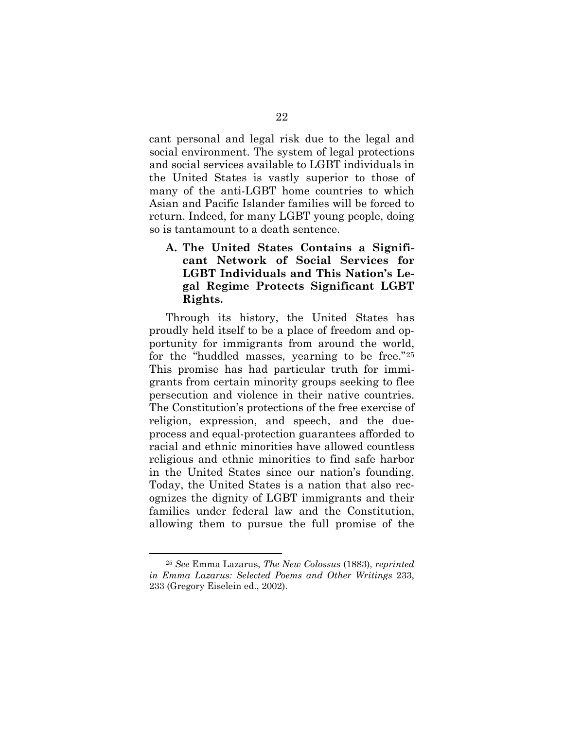cant personal and legal risk due to the legal and social environment. The system of legal protections and social services available to LGBT individuals in the United States is vastly superior to those of many of the anti-LGBT home countries to which Asian and Pacific Islander families will be forced to return. Indeed, for many LGBT young people, doing so is tantamount to a death sentence.

<span id="page-32-1"></span>**A. The United States Contains a Significant Network of Social Services for LGBT Individuals and This Nation's Legal Regime Protects Significant LGBT Rights.**

Through its history, the United States has proudly held itself to be a place of freedom and opportunity for immigrants from around the world, for the "huddled masses, yearning to be free."[25](#page-32-0) This promise has had particular truth for immigrants from certain minority groups seeking to flee persecution and violence in their native countries. The Constitution's protections of the free exercise of religion, expression, and speech, and the dueprocess and equal-protection guarantees afforded to racial and ethnic minorities have allowed countless religious and ethnic minorities to find safe harbor in the United States since our nation's founding. Today, the United States is a nation that also recognizes the dignity of LGBT immigrants and their families under federal law and the Constitution, allowing them to pursue the full promise of the

<span id="page-32-0"></span> <sup>25</sup> *See* Emma Lazarus, *The New Colossus* (1883), *reprinted in Emma Lazarus: Selected Poems and Other Writings* 233, 233 (Gregory Eiselein ed., 2002).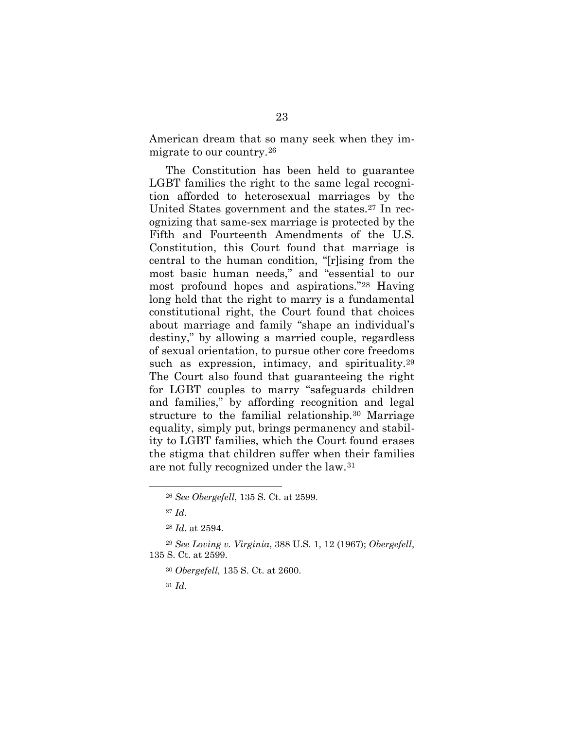American dream that so many seek when they immigrate to our country.[26](#page-33-0)

The Constitution has been held to guarantee LGBT families the right to the same legal recognition afforded to heterosexual marriages by the United States government and the states[.27](#page-33-1) In recognizing that same-sex marriage is protected by the Fifth and Fourteenth Amendments of the U.S. Constitution, this Court found that marriage is central to the human condition, "[r]ising from the most basic human needs," and "essential to our most profound hopes and aspirations."[28](#page-33-2) Having long held that the right to marry is a fundamental constitutional right, the Court found that choices about marriage and family "shape an individual's destiny," by allowing a married couple, regardless of sexual orientation, to pursue other core freedoms such as expression, intimacy, and spirituality.<sup>[29](#page-33-3)</sup> The Court also found that guaranteeing the right for LGBT couples to marry "safeguards children and families," by affording recognition and legal structure to the familial relationship.[30](#page-33-4) Marriage equality, simply put, brings permanency and stability to LGBT families, which the Court found erases the stigma that children suffer when their families are not fully recognized under the law.[31](#page-33-5)

- <sup>30</sup> *Obergefell,* 135 S. Ct. at 2600.
- <sup>31</sup> *Id.*

 <sup>26</sup> *See Obergefell*, 135 S. Ct. at 2599.

<sup>27</sup> *Id.*

<sup>28</sup> *Id*. at 2594.

<span id="page-33-5"></span><span id="page-33-4"></span><span id="page-33-3"></span><span id="page-33-2"></span><span id="page-33-1"></span><span id="page-33-0"></span><sup>29</sup> *See Loving v. Virginia*, 388 U.S. 1, 12 (1967); *Obergefell*, 135 S. Ct. at 2599.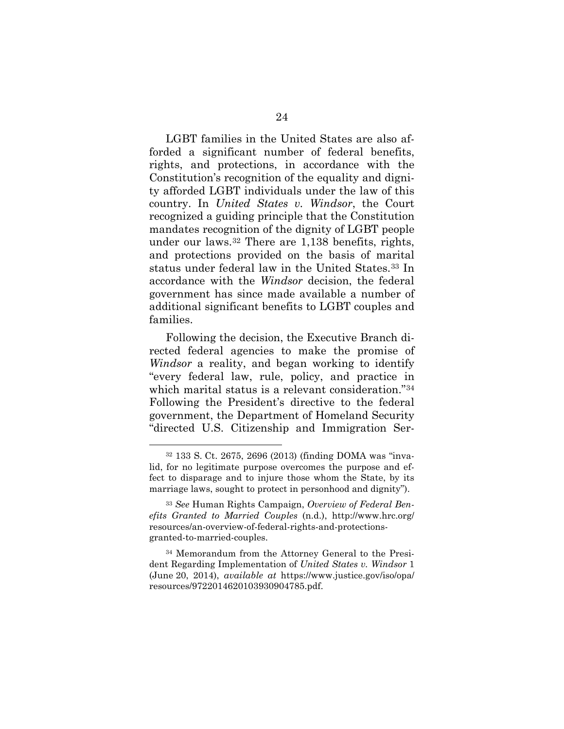LGBT families in the United States are also afforded a significant number of federal benefits, rights, and protections, in accordance with the Constitution's recognition of the equality and dignity afforded LGBT individuals under the law of this country. In *United States v. Windsor*, the Court recognized a guiding principle that the Constitution mandates recognition of the dignity of LGBT people under our laws.[32](#page-34-0) There are 1,138 benefits, rights, and protections provided on the basis of marital status under federal law in the United States.[33](#page-34-1) In accordance with the *Windsor* decision, the federal government has since made available a number of additional significant benefits to LGBT couples and families.

<span id="page-34-3"></span>Following the decision, the Executive Branch directed federal agencies to make the promise of *Windsor* a reality, and began working to identify "every federal law, rule, policy, and practice in which marital status is a relevant consideration."[34](#page-34-2) Following the President's directive to the federal government, the Department of Homeland Security "directed U.S. Citizenship and Immigration Ser-

<span id="page-34-0"></span> <sup>32</sup> 133 S. Ct. 2675, 2696 (2013) (finding DOMA was "invalid, for no legitimate purpose overcomes the purpose and effect to disparage and to injure those whom the State, by its marriage laws, sought to protect in personhood and dignity").

<span id="page-34-1"></span><sup>33</sup> *See* Human Rights Campaign, *Overview of Federal Benefits Granted to Married Couples* (n.d.), http://www.hrc.org/ [resources/an-overview-of-federal-rights-and-protections](http://www.hrc.org/resources/an-overview-of-federal-rights-and-protections-granted-to-married-couples)granted-to-married-couples.

<span id="page-34-2"></span><sup>34</sup> Memorandum from the Attorney General to the President Regarding Implementation of *United States v. Windsor* 1 (June 20, 2014), *available at* https://www.justice.gov/iso/opa/ [resources/9722014620103930904785.pdf.](https://www.justice.gov/iso/opa/resources/9722014620103930904785.pdf)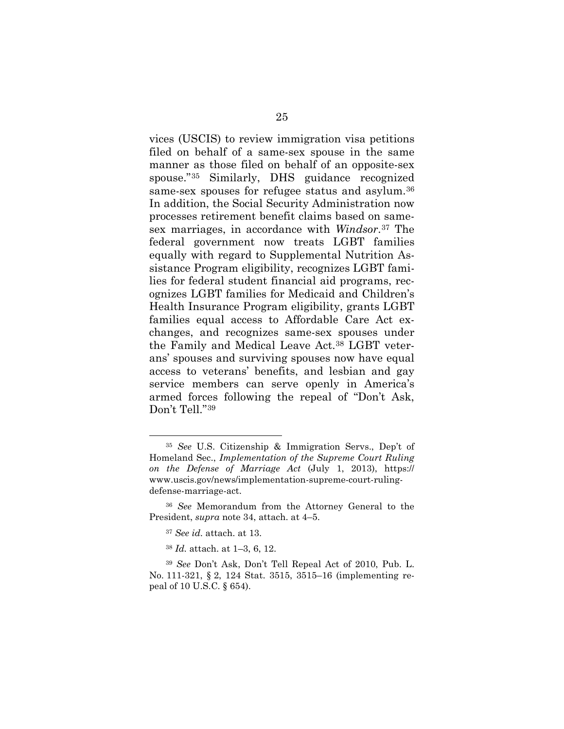vices (USCIS) to review immigration visa petitions filed on behalf of a same-sex spouse in the same manner as those filed on behalf of an opposite-sex spouse."[35](#page-35-0) Similarly, DHS guidance recognized same-sex spouses for refugee status and asylum.[36](#page-35-1) In addition, the Social Security Administration now processes retirement benefit claims based on samesex marriages, in accordance with *Windsor*.[37](#page-35-2) The federal government now treats LGBT families equally with regard to Supplemental Nutrition Assistance Program eligibility, recognizes LGBT families for federal student financial aid programs, recognizes LGBT families for Medicaid and Children's Health Insurance Program eligibility, grants LGBT families equal access to Affordable Care Act exchanges, and recognizes same-sex spouses under the Family and Medical Leave Act.[38](#page-35-3) LGBT veterans' spouses and surviving spouses now have equal access to veterans' benefits, and lesbian and gay service members can serve openly in America's armed forces following the repeal of "Don't Ask, Don't Tell."[39](#page-35-4)

<span id="page-35-0"></span> <sup>35</sup> *See* U.S. Citizenship & Immigration Servs., Dep't of Homeland Sec., *Implementation of the Supreme Court Ruling on the Defense of Marriage Act* (July 1, 2013), https:// www.uscis.gov/news/implementation-supreme-court-rulingdefense-marriage-act.

<span id="page-35-2"></span><span id="page-35-1"></span><sup>36</sup> *See* Memorandum from the Attorney General to the President, *supra* note [34,](#page-34-3) attach. at 4–5.

<sup>37</sup> *See id.* attach. at 13.

<sup>38</sup> *Id.* attach. at 1–3, 6, 12.

<span id="page-35-4"></span><span id="page-35-3"></span><sup>39</sup> *See* Don't Ask, Don't Tell Repeal Act of 2010, Pub. L. No. 111-321, § 2, 124 Stat. 3515, 3515–16 (implementing repeal of 10 U.S.C. § 654).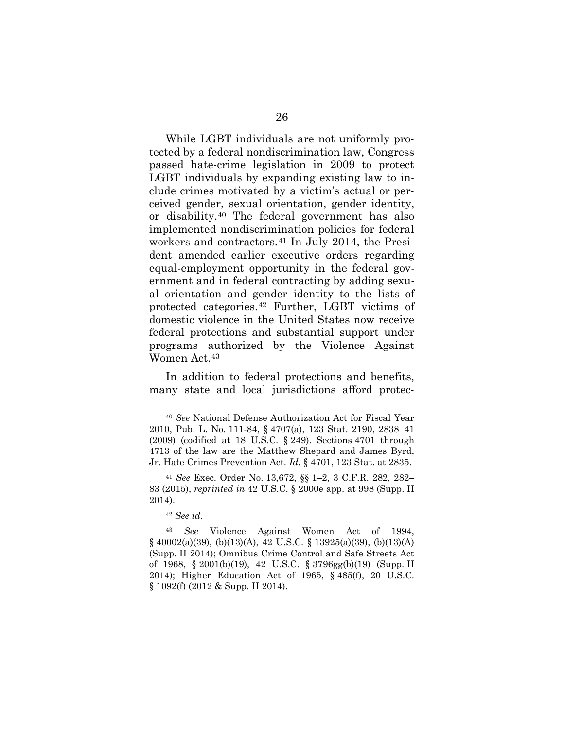While LGBT individuals are not uniformly protected by a federal nondiscrimination law, Congress passed hate-crime legislation in 2009 to protect LGBT individuals by expanding existing law to include crimes motivated by a victim's actual or perceived gender, sexual orientation, gender identity, or disability.[40](#page-36-0) The federal government has also implemented nondiscrimination policies for federal workers and contractors.<sup>[41](#page-36-1)</sup> In July 2014, the President amended earlier executive orders regarding equal-employment opportunity in the federal government and in federal contracting by adding sexual orientation and gender identity to the lists of protected categories.[42](#page-36-2) Further, LGBT victims of domestic violence in the United States now receive federal protections and substantial support under programs authorized by the Violence Against Women Act.[43](#page-36-3)

In addition to federal protections and benefits, many state and local jurisdictions afford protec-

<sup>42</sup> *See id.*

<span id="page-36-0"></span> <sup>40</sup> *See* National Defense Authorization Act for Fiscal Year 2010, Pub. L. No. 111-84, § 4707(a), 123 Stat. 2190, 2838–41 (2009) (codified at 18 U.S.C. § 249). Sections 4701 through 4713 of the law are the Matthew Shepard and James Byrd, Jr. Hate Crimes Prevention Act. *Id.* § 4701, 123 Stat. at 2835.

<span id="page-36-1"></span><sup>41</sup> *See* Exec. Order No. 13,672, §§ 1–2, 3 C.F.R. 282, 282– 83 (2015), *reprinted in* 42 U.S.C. § 2000e app. at 998 (Supp. II 2014).

<span id="page-36-3"></span><span id="page-36-2"></span><sup>43</sup> *See* Violence Against Women Act of 1994, § 40002(a)(39), (b)(13)(A), 42 U.S.C. § 13925(a)(39), (b)(13)(A) (Supp. II 2014); Omnibus Crime Control and Safe Streets Act of 1968, § 2001(b)(19), 42 U.S.C. § 3796gg(b)(19) (Supp. II 2014); Higher Education Act of 1965, § 485(f), 20 U.S.C. § 1092(f) (2012 & Supp. II 2014).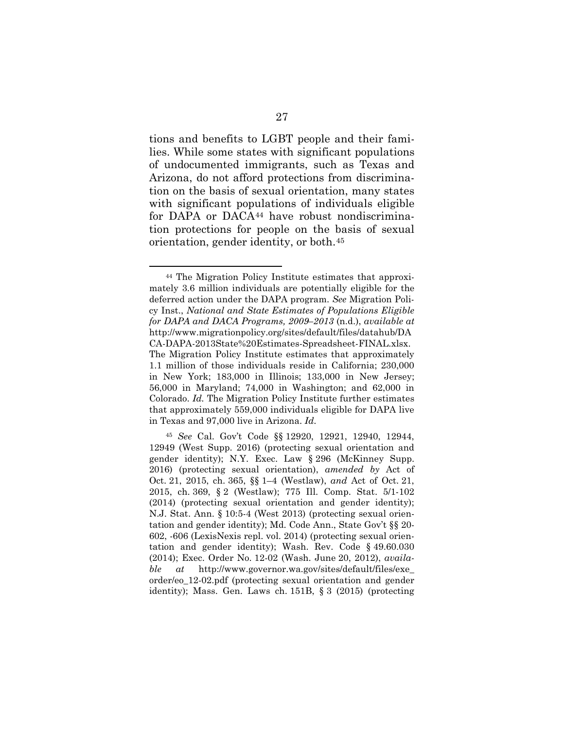tions and benefits to LGBT people and their families. While some states with significant populations of undocumented immigrants, such as Texas and Arizona, do not afford protections from discrimination on the basis of sexual orientation, many states with significant populations of individuals eligible for DAPA or DACA<sup>[44](#page-37-0)</sup> have robust nondiscrimination protections for people on the basis of sexual orientation, gender identity, or both.[45](#page-37-1)

<span id="page-37-0"></span> <sup>44</sup> The Migration Policy Institute estimates that approximately 3.6 million individuals are potentially eligible for the deferred action under the DAPA program. *See* Migration Policy Inst., *National and State Estimates of Populations Eligible for DAPA and DACA Programs, 2009–2013* (n.d.), *available at*  http://www.migrationpolicy.org/sites/default/files/datahub/DA CA-DAPA-2013State%20Estimates-Spreadsheet-FINAL.xlsx. The Migration Policy Institute estimates that approximately 1.1 million of those individuals reside in California; 230,000 in New York; 183,000 in Illinois; 133,000 in New Jersey; 56,000 in Maryland; 74,000 in Washington; and 62,000 in Colorado. *Id.* The Migration Policy Institute further estimates that approximately 559,000 individuals eligible for DAPA live in Texas and 97,000 live in Arizona. *Id.*

<span id="page-37-1"></span><sup>45</sup> *See* Cal. Gov't Code §§ 12920, 12921, 12940, 12944, 12949 (West Supp. 2016) (protecting sexual orientation and gender identity); N.Y. Exec. Law § 296 (McKinney Supp. 2016) (protecting sexual orientation), *amended by* Act of Oct. 21, 2015, ch. 365, §§ 1–4 (Westlaw), *and* Act of Oct. 21, 2015, ch. 369, § 2 (Westlaw); 775 Ill. Comp. Stat. 5/1-102 (2014) (protecting sexual orientation and gender identity); N.J. Stat. Ann. § 10:5-4 (West 2013) (protecting sexual orientation and gender identity); Md. Code Ann., State Gov't §§ 20- 602, -606 (LexisNexis repl. vol. 2014) (protecting sexual orientation and gender identity); Wash. Rev. Code § 49.60.030 (2014); Exec. Order No. 12-02 (Wash. June 20, 2012), *available at* http://www.governor.wa.gov/sites/default/files/exe\_ [order/eo\\_12-02.pdf \(protecting sexual orientation and gender](http://www.governor.wa.gov/sites/default/files/exe_order/eo_12-02.pdf)  identity); Mass. Gen. Laws ch. 151B, § 3 (2015) (protecting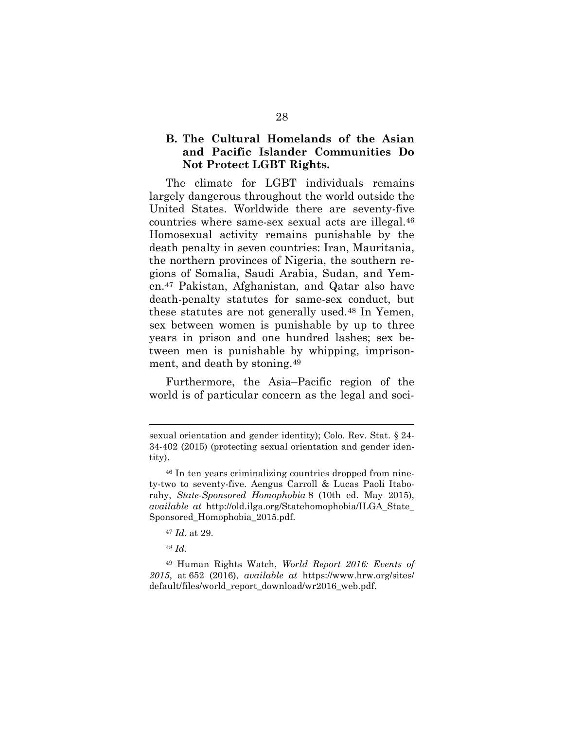## <span id="page-38-4"></span>**B. The Cultural Homelands of the Asian and Pacific Islander Communities Do Not Protect LGBT Rights.**

The climate for LGBT individuals remains largely dangerous throughout the world outside the United States. Worldwide there are seventy-five countries where same-sex sexual acts are illegal.[46](#page-38-0) Homosexual activity remains punishable by the death penalty in seven countries: Iran, Mauritania, the northern provinces of Nigeria, the southern regions of Somalia, Saudi Arabia, Sudan, and Yemen.[47](#page-38-1) Pakistan, Afghanistan, and Qatar also have death-penalty statutes for same-sex conduct, but these statutes are not generally used.[48](#page-38-2) In Yemen, sex between women is punishable by up to three years in prison and one hundred lashes; sex between men is punishable by whipping, imprisonment, and death by stoning.[49](#page-38-3)

Furthermore, the Asia–Pacific region of the world is of particular concern as the legal and soci-

- <sup>47</sup> *Id.* at 29.
- <sup>48</sup> *Id.*

 $\overline{a}$ 

<span id="page-38-3"></span><span id="page-38-2"></span><span id="page-38-1"></span><sup>49</sup> Human Rights Watch, *World Report 2016: Events of 2015*, at 652 (2016), *available at* https://www.hrw.org/sites/ [default/files/world\\_report\\_download/wr2016\\_web.pdf.](https://www.hrw.org/sites/default/files/world_report_download/wr2016_web.pdf)

sexual orientation and gender identity); Colo. Rev. Stat. § 24- 34-402 (2015) (protecting sexual orientation and gender identity).

<span id="page-38-0"></span><sup>46</sup> In ten years criminalizing countries dropped from ninety-two to seventy-five. Aengus Carroll & Lucas Paoli Itaborahy, *State-Sponsored Homophobia* 8 (10th ed. May 2015), *available at* [http://old.ilga.org/Statehomophobia/ILGA\\_State\\_](http://old.ilga.org/Statehomophobia/ILGA_State_Sponsored_Homophobia_2015.pdf) Sponsored\_Homophobia\_2015.pdf.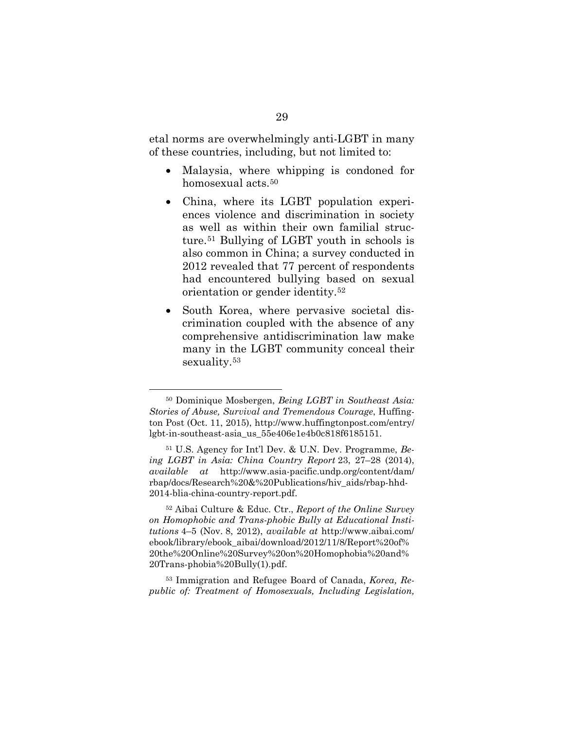etal norms are overwhelmingly anti-LGBT in many of these countries, including, but not limited to:

- Malaysia, where whipping is condoned for homosexual acts.<sup>[50](#page-39-0)</sup>
- China, where its LGBT population experiences violence and discrimination in society as well as within their own familial structure.[51](#page-39-1) Bullying of LGBT youth in schools is also common in China; a survey conducted in 2012 revealed that 77 percent of respondents had encountered bullying based on sexual orientation or gender identity.[52](#page-39-2)
- South Korea, where pervasive societal discrimination coupled with the absence of any comprehensive antidiscrimination law make many in the LGBT community conceal their sexuality[.53](#page-39-3)

<span id="page-39-3"></span><sup>53</sup> Immigration and Refugee Board of Canada, *Korea, Republic of: Treatment of Homosexuals, Including Legislation,* 

<span id="page-39-0"></span> <sup>50</sup> Dominique Mosbergen, *Being LGBT in Southeast Asia: Stories of Abuse, Survival and Tremendous Courage*, Huffington Post (Oct. 11, 2015), http://www.huffingtonpost.com/entry/ [lgbt-in-southeast-asia\\_us\\_55e406e1e4b0c818f6185151.](http://www.huffingtonpost.com/entry/lgbt-in-southeast-asia_us_55e406e1e4b0c818f6185151)

<span id="page-39-1"></span><sup>51</sup> U.S. Agency for Int'l Dev. & U.N. Dev. Programme, *Being LGBT in Asia: China Country Report* 23, 27–28 (2014), *available at* http://www.asia-pacific.undp.org/content/dam/ [rbap/docs/Research%20&%20Publications/hiv\\_aids/rbap-hhd-](http://www.asia-pacific.undp.org/content/dam/rbap/docs/Research%20&%20Publications/hiv_aids/rbap-hhd-2014-blia-china-country-report.pdf)2014-blia-china-country-report.pdf.

<span id="page-39-2"></span><sup>52</sup> Aibai Culture & Educ. Ctr., *Report of the Online Survey on Homophobic and Trans-phobic Bully at Educational Institutions* 4–5 (Nov. 8, 2012), *available at* http://www.aibai.com/ [ebook/library/ebook\\_aibai/download/2012/11/8/Report%20of%](http://www.aibai.com/ebook/library/ebook_aibai/download/2012/11/8/Report%20of%20the%20Online%20Survey%20on%20Homophobia%20and%20Trans-phobia%20Bully(1).pdf) 20the%20Online%20Survey%20on%20Homophobia%20and% 20Trans-phobia%20Bully(1).pdf.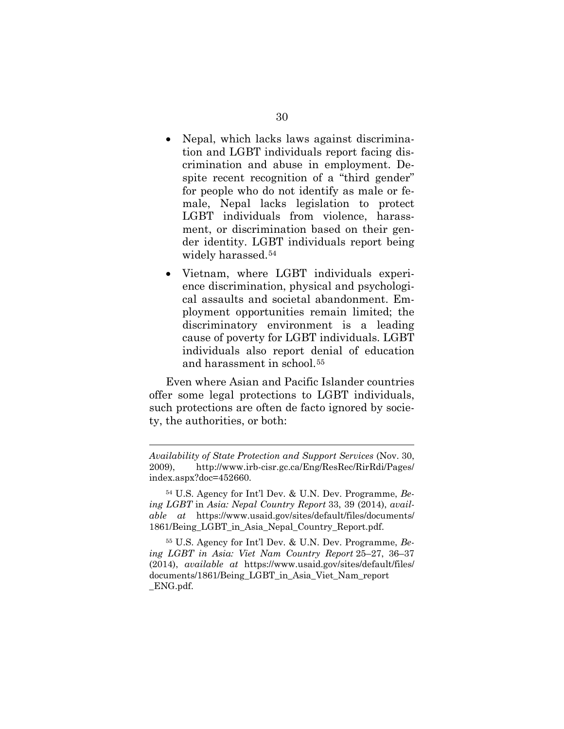- Nepal, which lacks laws against discrimination and LGBT individuals report facing discrimination and abuse in employment. Despite recent recognition of a "third gender" for people who do not identify as male or female, Nepal lacks legislation to protect LGBT individuals from violence, harassment, or discrimination based on their gender identity. LGBT individuals report being widely harassed.<sup>[54](#page-40-0)</sup>
- Vietnam, where LGBT individuals experience discrimination, physical and psychological assaults and societal abandonment. Employment opportunities remain limited; the discriminatory environment is a leading cause of poverty for LGBT individuals. LGBT individuals also report denial of education and harassment in school.[55](#page-40-1)

Even where Asian and Pacific Islander countries offer some legal protections to LGBT individuals, such protections are often de facto ignored by society, the authorities, or both:

 $\overline{a}$ 

*Availability of State Protection and Support Services* (Nov. 30, [2009\), http://www.irb-cisr.gc.ca/Eng/ResRec/RirRdi/Pages/](http://www.irb-cisr.gc.ca/Eng/ResRec/RirRdi/Pages/index.aspx?doc=452660) index.aspx?doc=452660.

<span id="page-40-0"></span><sup>54</sup> U.S. Agency for Int'l Dev. & U.N. Dev. Programme, *Being LGBT* in *Asia: Nepal Country Report* 33, 39 (2014), *available at* https://www.usaid.gov/sites/default/files/documents/ [1861/Being\\_LGBT\\_in\\_Asia\\_Nepal\\_Country\\_Report.pdf.](https://www.usaid.gov/sites/default/files/documents/1861/Being_LGBT_in_Asia_Nepal_Country_Report.pdf)

<span id="page-40-1"></span><sup>55</sup> U.S. Agency for Int'l Dev. & U.N. Dev. Programme, *Being LGBT in Asia: Viet Nam Country Report* 25–27, 36–37 (2014), *available at* https://www.usaid.gov/sites/default/files/ [documents/1861/Being\\_LGBT\\_in\\_Asia\\_Viet\\_Nam\\_report](https://www.usaid.gov/sites/default/files/documents/1861/Being_LGBT_in_Asia_Viet_Nam_report_ENG.pdf) \_ENG.pdf.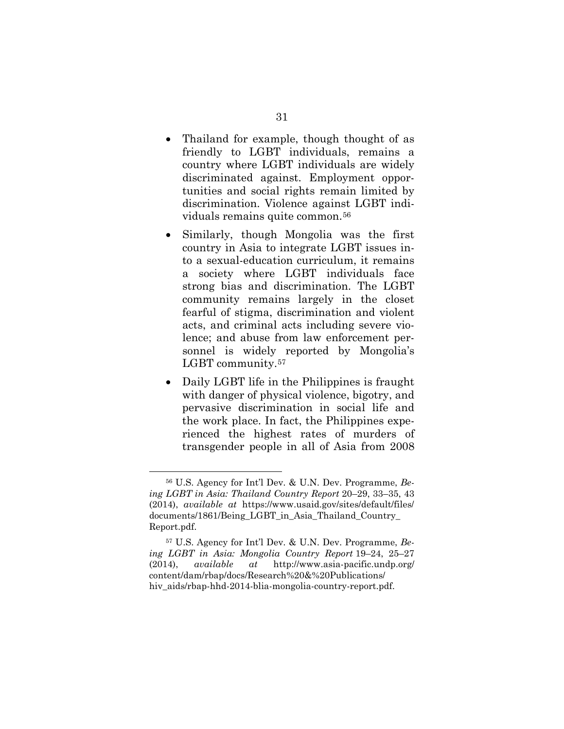- Thailand for example, though thought of as friendly to LGBT individuals, remains a country where LGBT individuals are widely discriminated against. Employment opportunities and social rights remain limited by discrimination. Violence against LGBT individuals remains quite common.[56](#page-41-0)
- Similarly, though Mongolia was the first country in Asia to integrate LGBT issues into a sexual-education curriculum, it remains a society where LGBT individuals face strong bias and discrimination. The LGBT community remains largely in the closet fearful of stigma, discrimination and violent acts, and criminal acts including severe violence; and abuse from law enforcement personnel is widely reported by Mongolia's LGBT community.<sup>57</sup>
- Daily LGBT life in the Philippines is fraught with danger of physical violence, bigotry, and pervasive discrimination in social life and the work place. In fact, the Philippines experienced the highest rates of murders of transgender people in all of Asia from 2008

<span id="page-41-0"></span> <sup>56</sup> U.S. Agency for Int'l Dev. & U.N. Dev. Programme, *Being LGBT in Asia: Thailand Country Report* 20–29, 33–35, 43 (2014), *available at* https://www.usaid.gov/sites/default/files/ [documents/1861/Being\\_LGBT\\_in\\_Asia\\_Thailand\\_Country\\_](https://www.usaid.gov/sites/default/files/documents/1861/Being_LGBT_in_Asia_Thailand_Country_Report.pdf) Report.pdf.

<span id="page-41-1"></span><sup>57</sup> U.S. Agency for Int'l Dev. & U.N. Dev. Programme, *Being LGBT in Asia: Mongolia Country Report* 19–24, 25–27 (2014), *available at* http://www.asia-pacific.undp.org/ content/dam/rbap/docs/Research%20&%20Publications/ [hiv\\_aids/rbap-hhd-2014-blia-mongolia-country-report.pdf.](http://www.asia-pacific.undp.org/content/dam/rbap/docs/Research%20&%20Publications/hiv_aids/rbap-hhd-2014-blia-mongolia-country-report.pdf)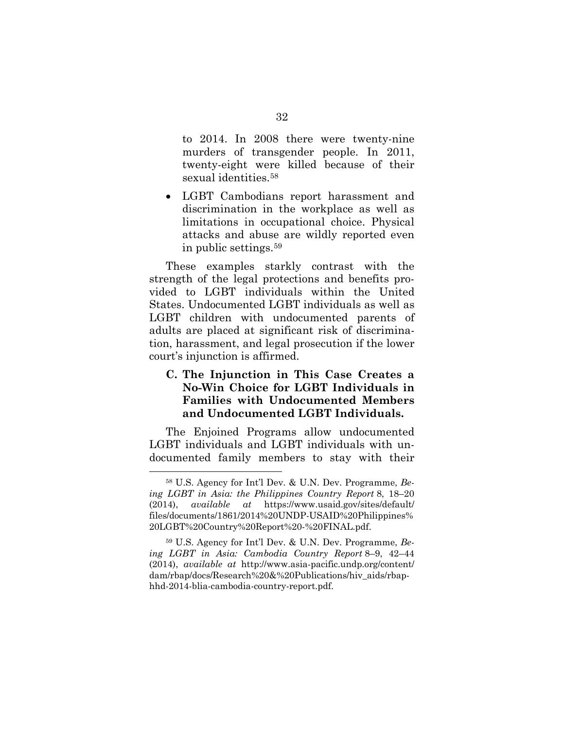to 2014. In 2008 there were twenty-nine murders of transgender people. In 2011, twenty-eight were killed because of their sexual identities.<sup>58</sup>

• LGBT Cambodians report harassment and discrimination in the workplace as well as limitations in occupational choice. Physical attacks and abuse are wildly reported even in public settings.[59](#page-42-1)

These examples starkly contrast with the strength of the legal protections and benefits provided to LGBT individuals within the United States. Undocumented LGBT individuals as well as LGBT children with undocumented parents of adults are placed at significant risk of discrimination, harassment, and legal prosecution if the lower court's injunction is affirmed.

## **C. The Injunction in This Case Creates a No-Win Choice for LGBT Individuals in Families with Undocumented Members and Undocumented LGBT Individuals.**

The Enjoined Programs allow undocumented LGBT individuals and LGBT individuals with undocumented family members to stay with their

<span id="page-42-0"></span> <sup>58</sup> U.S. Agency for Int'l Dev. & U.N. Dev. Programme, *Being LGBT in Asia: the Philippines Country Report* 8, 18–20 (2014), *available at* https://www.usaid.gov/sites/default/ [files/documents/1861/2014%20UNDP-USAID%20Philippines%](https://www.usaid.gov/sites/default/files/documents/1861/2014%20UNDP-USAID%20Philippines%20LGBT%20Country%20Report%20-%20FINAL.pdf)  20LGBT%20Country%20Report%20-%20FINAL.pdf.

<span id="page-42-1"></span><sup>59</sup> U.S. Agency for Int'l Dev. & U.N. Dev. Programme, *Being LGBT in Asia: Cambodia Country Report* 8–9, 42–44 (2014), *available at* http://www.asia-pacific.undp.org/content/ [dam/rbap/docs/Research%20&%20Publications/hiv\\_aids/rbap](http://www.asia-pacific.undp.org/content/dam/rbap/docs/Research%20&%20Publications/hiv_aids/rbap-hhd-2014-blia-cambodia-country-report.pdf)hhd-2014-blia-cambodia-country-report.pdf.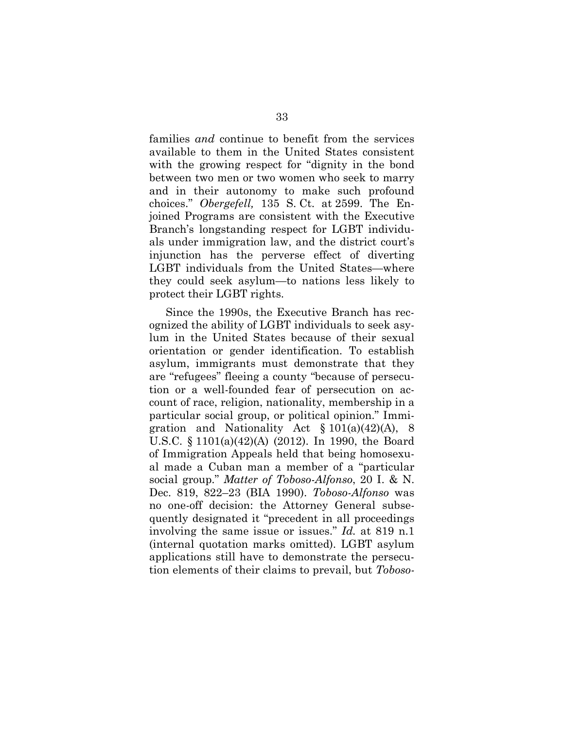families *and* continue to benefit from the services available to them in the United States consistent with the growing respect for "dignity in the bond between two men or two women who seek to marry and in their autonomy to make such profound choices." *Obergefell,* 135 S. Ct. at 2599. The Enjoined Programs are consistent with the Executive Branch's longstanding respect for LGBT individuals under immigration law, and the district court's injunction has the perverse effect of diverting LGBT individuals from the United States—where they could seek asylum—to nations less likely to protect their LGBT rights.

Since the 1990s, the Executive Branch has recognized the ability of LGBT individuals to seek asylum in the United States because of their sexual orientation or gender identification. To establish asylum, immigrants must demonstrate that they are "refugees" fleeing a county "because of persecution or a well-founded fear of persecution on account of race, religion, nationality, membership in a particular social group, or political opinion." Immigration and Nationality Act  $\S 101(a)(42)(A)$ , 8 U.S.C. § 1101(a)(42)(A) (2012). In 1990, the Board of Immigration Appeals held that being homosexual made a Cuban man a member of a "particular social group." *Matter of Toboso-Alfonso*, 20 I. & N. Dec. 819, 822–23 (BIA 1990). *Toboso-Alfonso* was no one-off decision: the Attorney General subsequently designated it "precedent in all proceedings involving the same issue or issues." *Id.* at 819 n.1 (internal quotation marks omitted). LGBT asylum applications still have to demonstrate the persecution elements of their claims to prevail, but *Toboso-*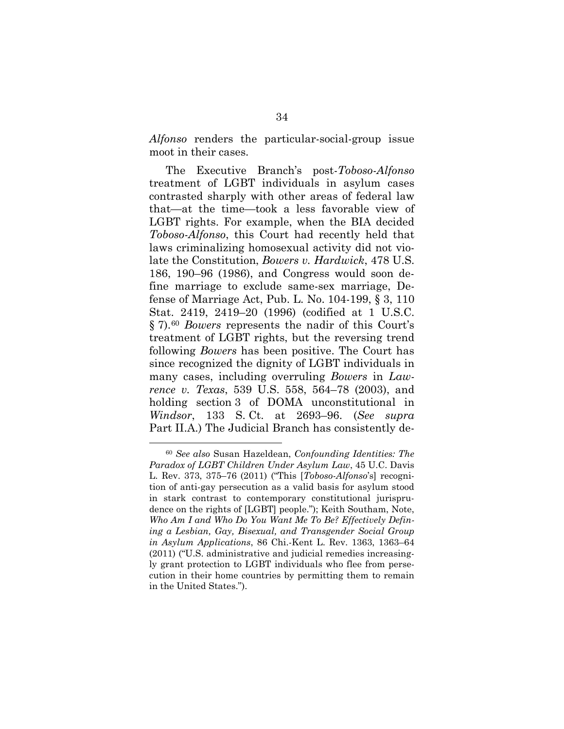*Alfonso* renders the particular-social-group issue moot in their cases.

The Executive Branch's post-*Toboso-Alfonso*  treatment of LGBT individuals in asylum cases contrasted sharply with other areas of federal law that—at the time—took a less favorable view of LGBT rights. For example, when the BIA decided *Toboso-Alfonso*, this Court had recently held that laws criminalizing homosexual activity did not violate the Constitution, *Bowers v. Hardwick*, 478 U.S. 186, 190–96 (1986), and Congress would soon define marriage to exclude same-sex marriage, Defense of Marriage Act, Pub. L. No. 104-199, § 3, 110 Stat. 2419, 2419–20 (1996) (codified at 1 U.S.C. § 7).[60](#page-44-0) *Bowers* represents the nadir of this Court's treatment of LGBT rights, but the reversing trend following *Bowers* has been positive. The Court has since recognized the dignity of LGBT individuals in many cases, including overruling *Bowers* in *Lawrence v. Texas*, 539 U.S. 558, 564–78 (2003), and holding section 3 of DOMA unconstitutional in *Windsor*, 133 S. Ct. at 2693–96. (*See supra* Part [II.A.](#page-32-1)) The Judicial Branch has consistently de-

<span id="page-44-0"></span> <sup>60</sup> *See also* Susan Hazeldean, *Confounding Identities: The Paradox of LGBT Children Under Asylum Law*, 45 U.C. Davis L. Rev. 373, 375–76 (2011) ("This [*Toboso-Alfonso*'s] recognition of anti-gay persecution as a valid basis for asylum stood in stark contrast to contemporary constitutional jurisprudence on the rights of [LGBT] people."); Keith Southam, Note, *Who Am I and Who Do You Want Me To Be? Effectively Defining a Lesbian, Gay, Bisexual, and Transgender Social Group in Asylum Applications*, 86 Chi.-Kent L. Rev. 1363, 1363–64 (2011) ("U.S. administrative and judicial remedies increasingly grant protection to LGBT individuals who flee from persecution in their home countries by permitting them to remain in the United States.").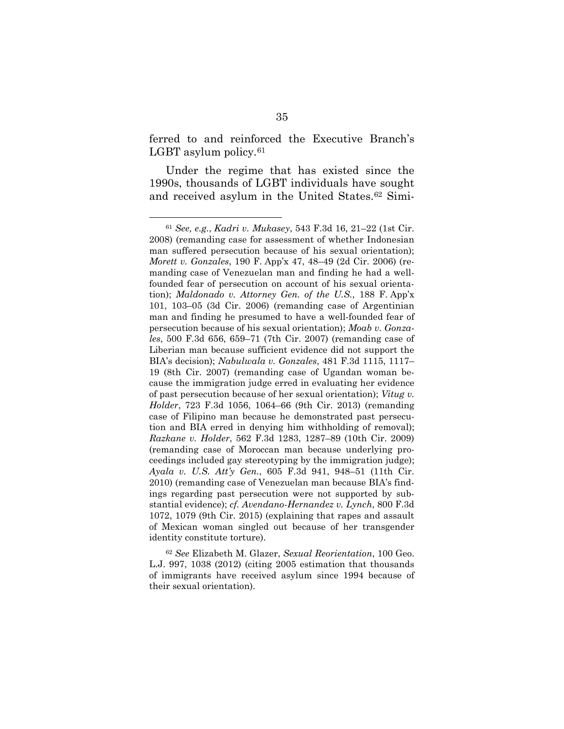ferred to and reinforced the Executive Branch's LGBT asylum policy.<sup>[61](#page-45-0)</sup>

Under the regime that has existed since the 1990s, thousands of LGBT individuals have sought and received asylum in the United States.[62](#page-45-1) Simi-

<span id="page-45-1"></span><sup>62</sup> *See* Elizabeth M. Glazer, *Sexual Reorientation*, 100 Geo. L.J. 997, 1038 (2012) (citing 2005 estimation that thousands of immigrants have received asylum since 1994 because of their sexual orientation).

<span id="page-45-0"></span> <sup>61</sup> *See, e.g.*, *Kadri v. Mukasey*, 543 F.3d 16, 21–22 (1st Cir. 2008) (remanding case for assessment of whether Indonesian man suffered persecution because of his sexual orientation); *Morett v. Gonzales*, 190 F. App'x 47, 48–49 (2d Cir. 2006) (remanding case of Venezuelan man and finding he had a wellfounded fear of persecution on account of his sexual orientation); *Maldonado v. Attorney Gen. of the U.S.*, 188 F. App'x 101, 103–05 (3d Cir. 2006) (remanding case of Argentinian man and finding he presumed to have a well-founded fear of persecution because of his sexual orientation); *Moab v. Gonzales*, 500 F.3d 656, 659–71 (7th Cir. 2007) (remanding case of Liberian man because sufficient evidence did not support the BIA's decision); *Nabulwala v. Gonzales*, 481 F.3d 1115, 1117– 19 (8th Cir. 2007) (remanding case of Ugandan woman because the immigration judge erred in evaluating her evidence of past persecution because of her sexual orientation); *Vitug v. Holder*, 723 F.3d 1056, 1064–66 (9th Cir. 2013) (remanding case of Filipino man because he demonstrated past persecution and BIA erred in denying him withholding of removal); *Razkane v. Holder*, 562 F.3d 1283, 1287–89 (10th Cir. 2009) (remanding case of Moroccan man because underlying proceedings included gay stereotyping by the immigration judge); *Ayala v. U.S. Att'y Gen.*, 605 F.3d 941, 948–51 (11th Cir. 2010) (remanding case of Venezuelan man because BIA's findings regarding past persecution were not supported by substantial evidence); *cf. Avendano-Hernandez v. Lynch*, 800 F.3d 1072, 1079 (9th Cir. 2015) (explaining that rapes and assault of Mexican woman singled out because of her transgender identity constitute torture).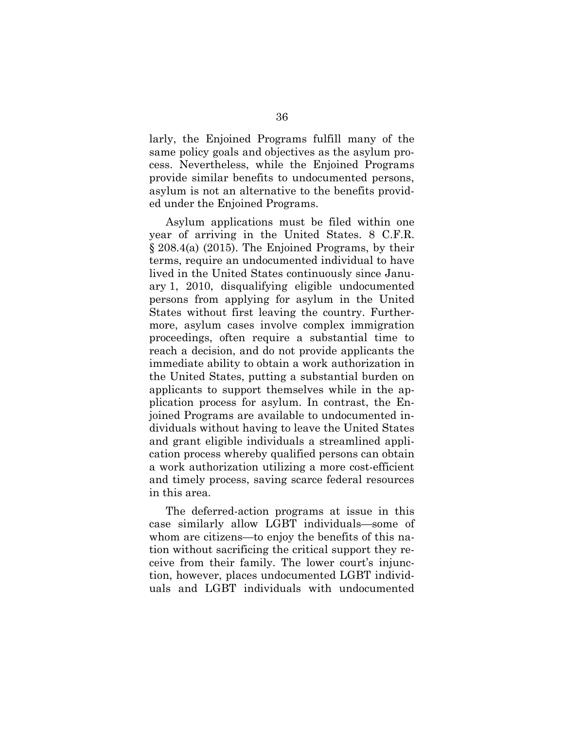larly, the Enjoined Programs fulfill many of the same policy goals and objectives as the asylum process. Nevertheless, while the Enjoined Programs provide similar benefits to undocumented persons, asylum is not an alternative to the benefits provided under the Enjoined Programs.

Asylum applications must be filed within one year of arriving in the United States. 8 C.F.R. § 208.4(a) (2015). The Enjoined Programs, by their terms, require an undocumented individual to have lived in the United States continuously since January 1, 2010, disqualifying eligible undocumented persons from applying for asylum in the United States without first leaving the country. Furthermore, asylum cases involve complex immigration proceedings, often require a substantial time to reach a decision, and do not provide applicants the immediate ability to obtain a work authorization in the United States, putting a substantial burden on applicants to support themselves while in the application process for asylum. In contrast, the Enjoined Programs are available to undocumented individuals without having to leave the United States and grant eligible individuals a streamlined application process whereby qualified persons can obtain a work authorization utilizing a more cost-efficient and timely process, saving scarce federal resources in this area.

The deferred-action programs at issue in this case similarly allow LGBT individuals—some of whom are citizens—to enjoy the benefits of this nation without sacrificing the critical support they receive from their family. The lower court's injunction, however, places undocumented LGBT individuals and LGBT individuals with undocumented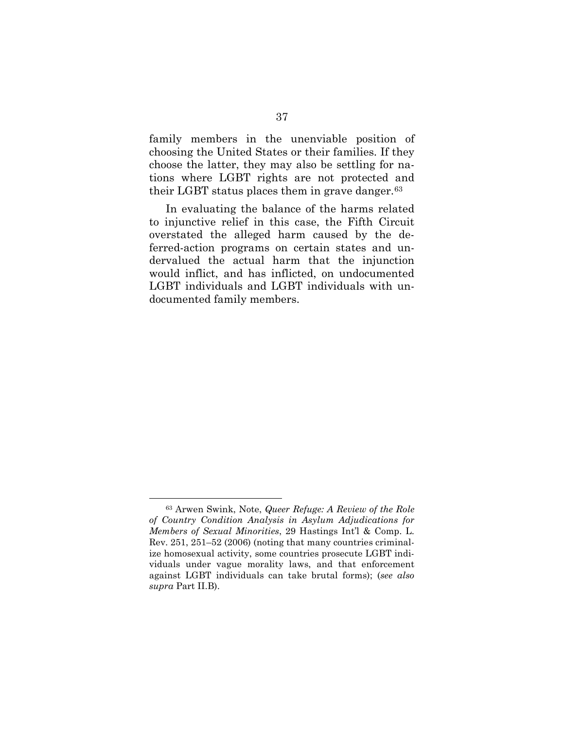family members in the unenviable position of choosing the United States or their families. If they choose the latter, they may also be settling for nations where LGBT rights are not protected and their LGBT status places them in grave danger.<sup>[63](#page-47-0)</sup>

In evaluating the balance of the harms related to injunctive relief in this case, the Fifth Circuit overstated the alleged harm caused by the deferred-action programs on certain states and undervalued the actual harm that the injunction would inflict, and has inflicted, on undocumented LGBT individuals and LGBT individuals with undocumented family members.

<span id="page-47-0"></span> <sup>63</sup> Arwen Swink, Note, *Queer Refuge: A Review of the Role of Country Condition Analysis in Asylum Adjudications for Members of Sexual Minorities*, 29 Hastings Int'l & Comp. L. Rev. 251, 251–52 (2006) (noting that many countries criminalize homosexual activity, some countries prosecute LGBT individuals under vague morality laws, and that enforcement against LGBT individuals can take brutal forms); (*see also supra* Part [II.B\)](#page-38-4).